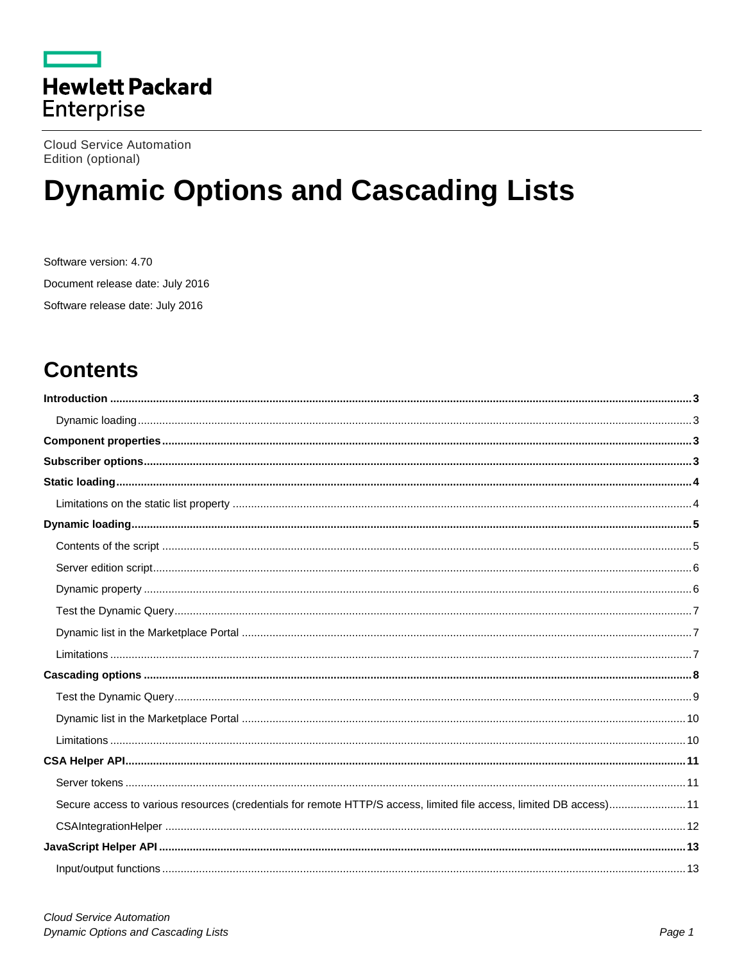

**Cloud Service Automation** Edition (optional)

# **Dynamic Options and Cascading Lists**

Software version: 4.70 Document release date: July 2016 Software release date: July 2016

## **Contents**

| Secure access to various resources (credentials for remote HTTP/S access, limited file access, limited DB access) 11 |  |
|----------------------------------------------------------------------------------------------------------------------|--|
|                                                                                                                      |  |
|                                                                                                                      |  |
|                                                                                                                      |  |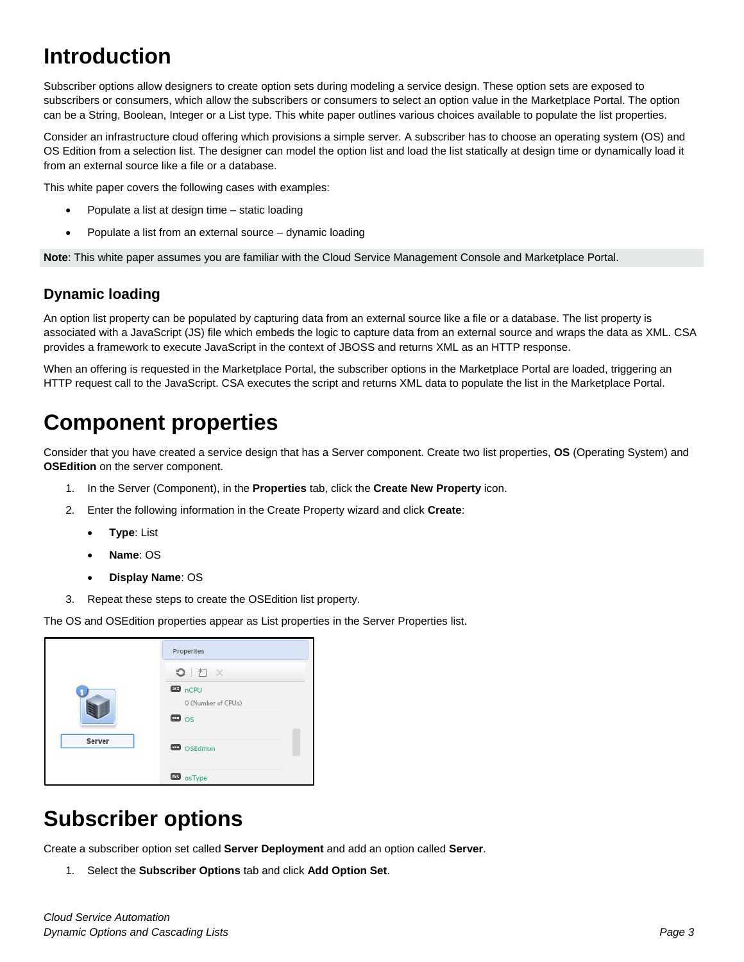## <span id="page-2-0"></span>**Introduction**

Subscriber options allow designers to create option sets during modeling a service design. These option sets are exposed to subscribers or consumers, which allow the subscribers or consumers to select an option value in the Marketplace Portal. The option can be a String, Boolean, Integer or a List type. This white paper outlines various choices available to populate the list properties.

Consider an infrastructure cloud offering which provisions a simple server. A subscriber has to choose an operating system (OS) and OS Edition from a selection list. The designer can model the option list and load the list statically at design time or dynamically load it from an external source like a file or a database.

This white paper covers the following cases with examples:

- Populate a list at design time static loading
- Populate a list from an external source dynamic loading

**Note**: This white paper assumes you are familiar with the Cloud Service Management Console and Marketplace Portal.

## <span id="page-2-1"></span>**Dynamic loading**

An option list property can be populated by capturing data from an external source like a file or a database. The list property is associated with a JavaScript (JS) file which embeds the logic to capture data from an external source and wraps the data as XML. CSA provides a framework to execute JavaScript in the context of JBOSS and returns XML as an HTTP response.

When an offering is requested in the Marketplace Portal, the subscriber options in the Marketplace Portal are loaded, triggering an HTTP request call to the JavaScript. CSA executes the script and returns XML data to populate the list in the Marketplace Portal.

## <span id="page-2-2"></span>**Component properties**

Consider that you have created a service design that has a Server component. Create two list properties, **OS** (Operating System) and **OSEdition** on the server component.

- 1. In the Server (Component), in the **Properties** tab, click the **Create New Property** icon.
- 2. Enter the following information in the Create Property wizard and click **Create**:
	- **Type**: List
	- **Name**: OS
	- **Display Name**: OS
- 3. Repeat these steps to create the OSEdition list property.

The OS and OSEdition properties appear as List properties in the Server Properties list.



## <span id="page-2-3"></span>**Subscriber options**

Create a subscriber option set called **Server Deployment** and add an option called **Server**.

1. Select the **Subscriber Options** tab and click **Add Option Set**.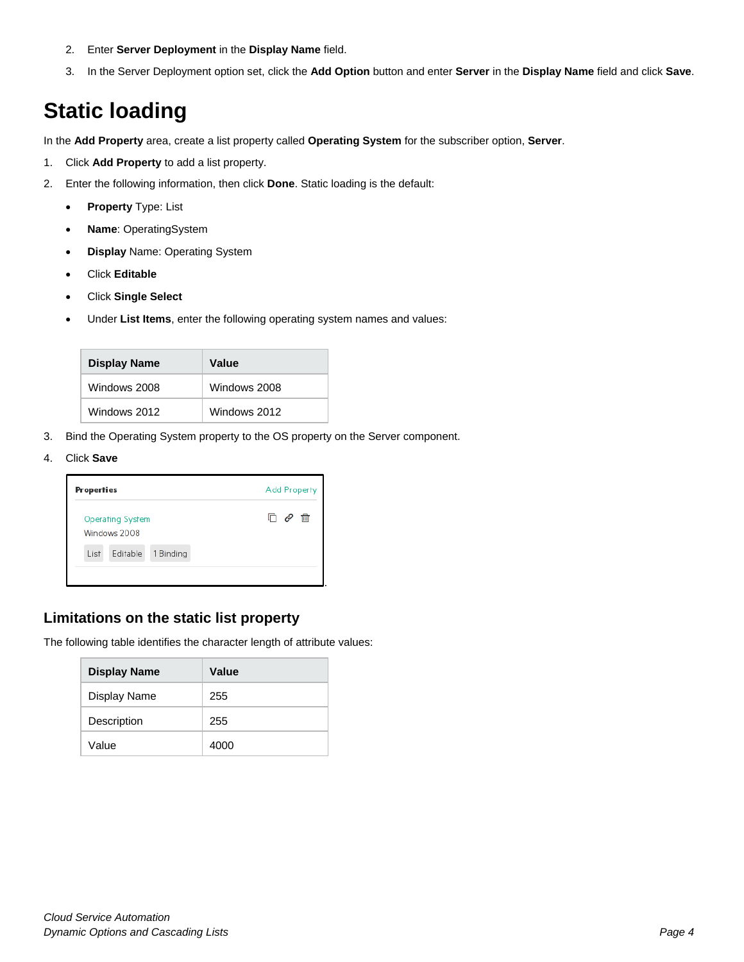- 2. Enter **Server Deployment** in the **Display Name** field.
- 3. In the Server Deployment option set, click the **Add Option** button and enter **Server** in the **Display Name** field and click **Save**.

## <span id="page-3-0"></span>**Static loading**

In the **Add Property** area, create a list property called **Operating System** for the subscriber option, **Server**.

- 1. Click **Add Property** to add a list property.
- 2. Enter the following information, then click **Done**. Static loading is the default:
	- **Property** Type: List
	- **Name**: OperatingSystem
	- **Display** Name: Operating System
	- Click **Editable**
	- Click **Single Select**
	- Under **List Items**, enter the following operating system names and values:

| <b>Display Name</b> | Value        |
|---------------------|--------------|
| Windows 2008        | Windows 2008 |
| Windows 2012        | Windows 2012 |

- 3. Bind the Operating System property to the OS property on the Server component.
- 4. Click **Save**



## <span id="page-3-1"></span>**Limitations on the static list property**

The following table identifies the character length of attribute values:

| <b>Display Name</b> | Value |
|---------------------|-------|
| Display Name        | 255   |
| Description         | 255   |
| Value               | 4000  |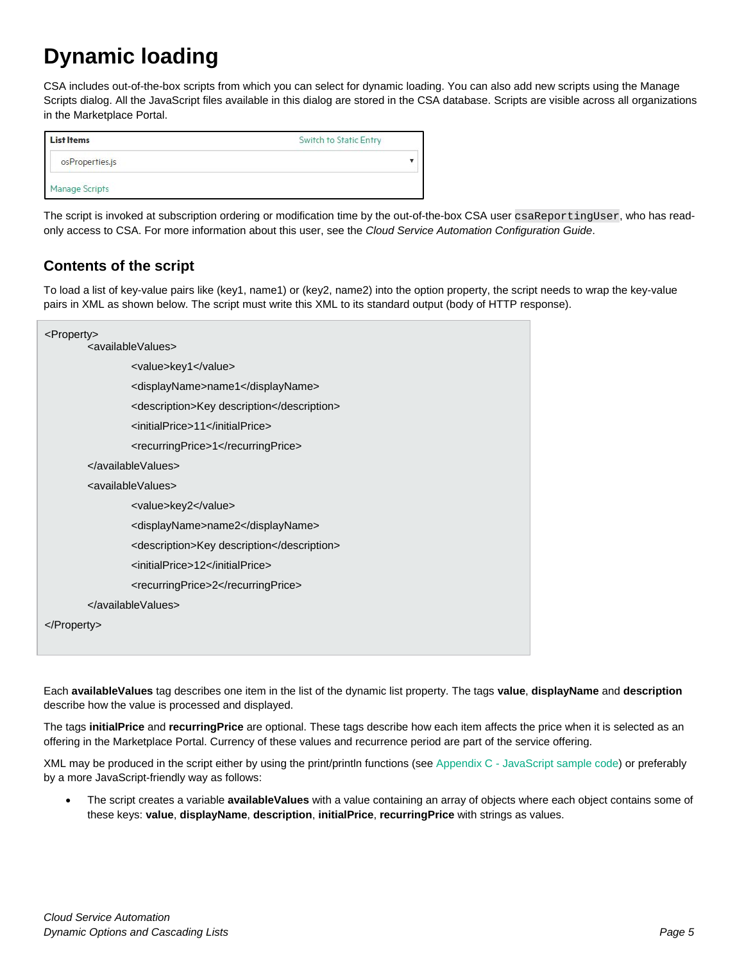## <span id="page-4-0"></span>**Dynamic loading**

CSA includes out-of-the-box scripts from which you can select for dynamic loading. You can also add new scripts using the Manage Scripts dialog. All the JavaScript files available in this dialog are stored in the CSA database. Scripts are visible across all organizations in the Marketplace Portal.

| <b>List Items</b>     | Switch to Static Entry |
|-----------------------|------------------------|
| osProperties.js       |                        |
| <b>Manage Scripts</b> |                        |

The script is invoked at subscription ordering or modification time by the out-of-the-box CSA user csaReportingUser, who has readonly access to CSA. For more information about this user, see the *Cloud Service Automation Configuration Guide*.

## <span id="page-4-1"></span>**Contents of the script**

To load a list of key-value pairs like (key1, name1) or (key2, name2) into the option property, the script needs to wrap the key-value pairs in XML as shown below. The script must write this XML to its standard output (body of HTTP response).

| <property></property>                      |
|--------------------------------------------|
| <availablevalues></availablevalues>        |
| <value>key1</value>                        |
| <displayname>name1</displayname>           |
| <description>Key description</description> |
| <initialprice>11</initialprice>            |
| <recurringprice>1</recurringprice>         |
|                                            |
| <availablevalues></availablevalues>        |
| <value>key2</value>                        |
| <displayname>name2</displayname>           |
| <description>Key description</description> |
| <initialprice>12</initialprice>            |
| <recurringprice>2</recurringprice>         |
|                                            |
| $<$ /Property>                             |

Each **availableValues** tag describes one item in the list of the dynamic list property. The tags **value**, **displayName** and **description** describe how the value is processed and displayed.

The tags **initialPrice** and **recurringPrice** are optional. These tags describe how each item affects the price when it is selected as an offering in the Marketplace Portal. Currency of these values and recurrence period are part of the service offering.

XML may be produced in the script either by using the print/println functions (see Appendix C - [JavaScript sample code\)](#page-23-0) or preferably by a more JavaScript-friendly way as follows:

• The script creates a variable **availableValues** with a value containing an array of objects where each object contains some of these keys: **value**, **displayName**, **description**, **initialPrice**, **recurringPrice** with strings as values.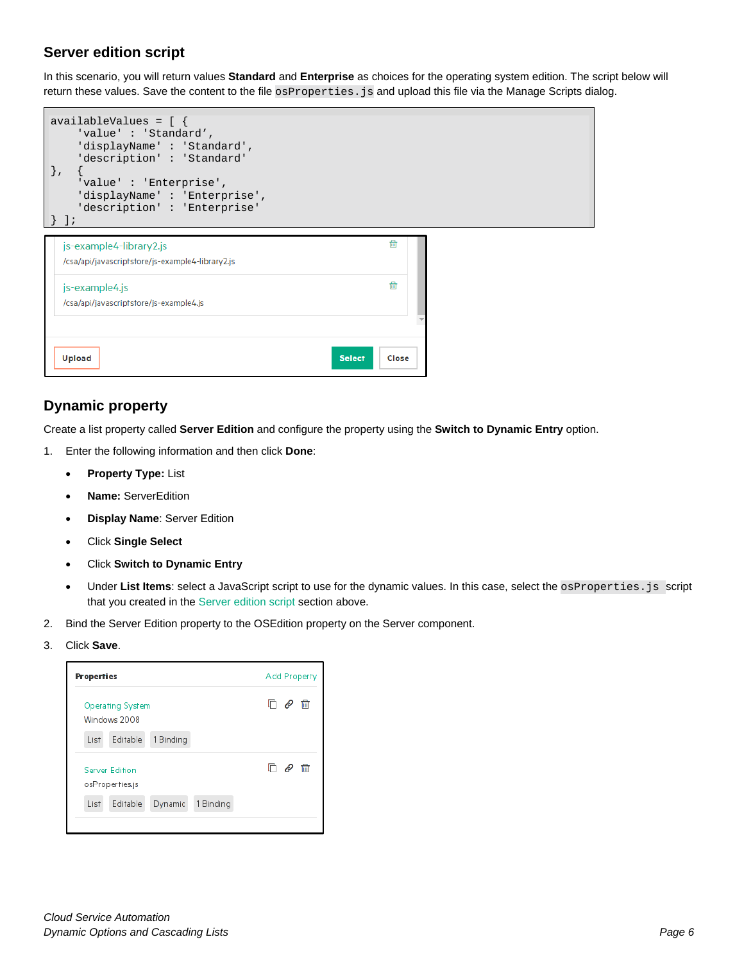## <span id="page-5-0"></span>**Server edition script**

In this scenario, you will return values **Standard** and **Enterprise** as choices for the operating system edition. The script below will return these values. Save the content to the file osProperties. js and upload this file via the Manage Scripts dialog.

| availableValues = $[ \ \{$ |                      |                              |
|----------------------------|----------------------|------------------------------|
|                            | 'value': 'Standard', |                              |
|                            |                      | 'displayName': 'Standard',   |
|                            |                      | 'description': 'Standard'    |
|                            |                      |                              |
|                            |                      | 'value': 'Enterprise',       |
|                            |                      | 'displayName': 'Enterprise', |
|                            |                      | 'description': 'Enterprise'  |
|                            |                      |                              |

| js-example4-library2.js<br>/csa/api/javascriptstore/js-example4-library2.js | fil                    |  |
|-----------------------------------------------------------------------------|------------------------|--|
| js-example4.js<br>/csa/api/javascriptstore/js-example4.js                   | 冊                      |  |
|                                                                             |                        |  |
| <b>Upload</b>                                                               | <b>Select</b><br>Close |  |

## <span id="page-5-1"></span>**Dynamic property**

Create a list property called **Server Edition** and configure the property using the **Switch to Dynamic Entry** option.

- 1. Enter the following information and then click **Done**:
	- **Property Type:** List
	- **Name:** ServerEdition
	- **Display Name**: Server Edition
	- Click **Single Select**
	- Click **Switch to Dynamic Entry**
	- Under List Items: select a JavaScript script to use for the dynamic values. In this case, select the osProperties. js script that you created in the [Server edition script](#page-5-0) section above.
- 2. Bind the Server Edition property to the OSEdition property on the Server component.
- 3. Click **Save**.

| <b>Properties</b>                        |                      | Add Property |
|------------------------------------------|----------------------|--------------|
| <b>Operating System</b><br>Windows 2008  |                      | 侖<br>e       |
| Editable<br>List                         | 1 Binding            |              |
| <b>Server Edition</b><br>osProperties.js |                      | 侖            |
| Editable<br>List                         | 1 Binding<br>Dynamic |              |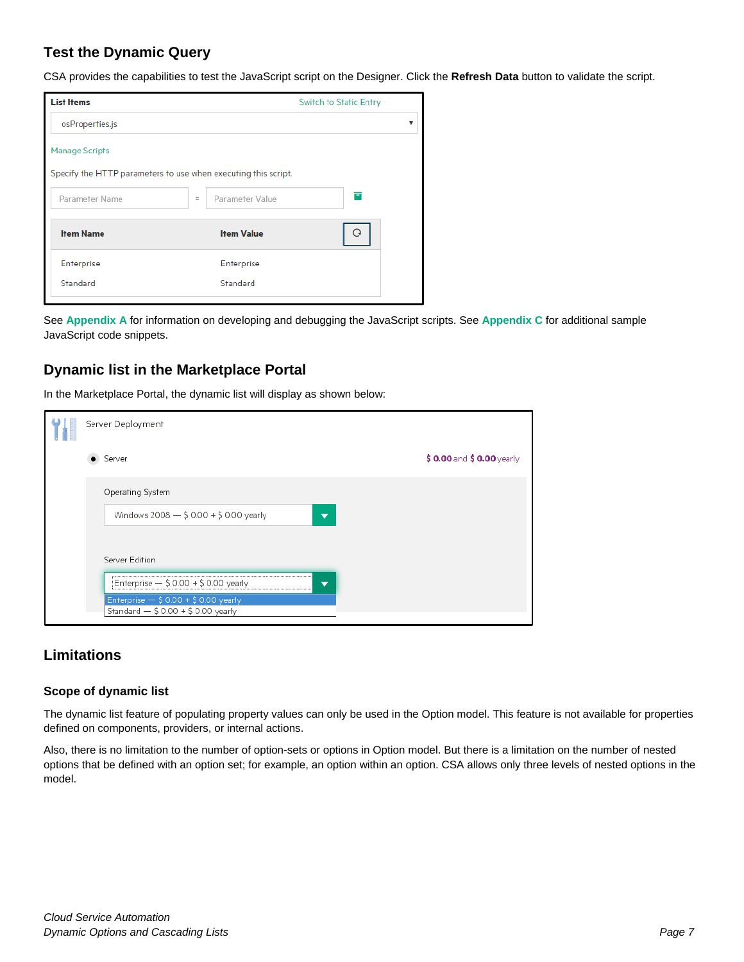## <span id="page-6-0"></span>**Test the Dynamic Query**

CSA provides the capabilities to test the JavaScript script on the Designer. Click the **Refresh Data** button to validate the script.

| <b>List Items</b>                                              |                               | <b>Switch to Static Entry</b> |
|----------------------------------------------------------------|-------------------------------|-------------------------------|
| osProperties.js                                                |                               | v                             |
| <b>Manage Scripts</b>                                          |                               |                               |
| Specify the HTTP parameters to use when executing this script. |                               |                               |
| Parameter Name                                                 | <b>Parameter Value</b><br>$=$ | ē                             |
| <b>Item Name</b>                                               | <b>Item Value</b>             | O                             |
| Enterprise                                                     | Enterprise                    |                               |
| Standard                                                       | Standard                      |                               |
|                                                                |                               |                               |

See **[Appendix A](#page-18-0)** for information on developing and debugging the JavaScript scripts. See **[Appendix C](#page-23-0)** for additional sample JavaScript code snippets.

### <span id="page-6-1"></span>**Dynamic list in the Marketplace Portal**

In the Marketplace Portal, the dynamic list will display as shown below:

|  | Server Deployment                                                                |                            |
|--|----------------------------------------------------------------------------------|----------------------------|
|  | Server                                                                           | $$0.00$ and $$0.00$ yearly |
|  | Operating System                                                                 |                            |
|  | Windows 2008 - \$ 0.00 + \$ 0.00 yearly<br>┳                                     |                            |
|  | Server Edition                                                                   |                            |
|  | Enterprise - \$ 0.00 + \$ 0.00 yearly<br>$\overline{\phantom{a}}$                |                            |
|  | Enterprise $-$ \$ 0.00 + \$ 0.00 yearly<br>Standard $-$ \$ 0.00 + \$ 0.00 yearly |                            |

### <span id="page-6-2"></span>**Limitations**

#### **Scope of dynamic list**

The dynamic list feature of populating property values can only be used in the Option model. This feature is not available for properties defined on components, providers, or internal actions.

Also, there is no limitation to the number of option-sets or options in Option model. But there is a limitation on the number of nested options that be defined with an option set; for example, an option within an option. CSA allows only three levels of nested options in the model.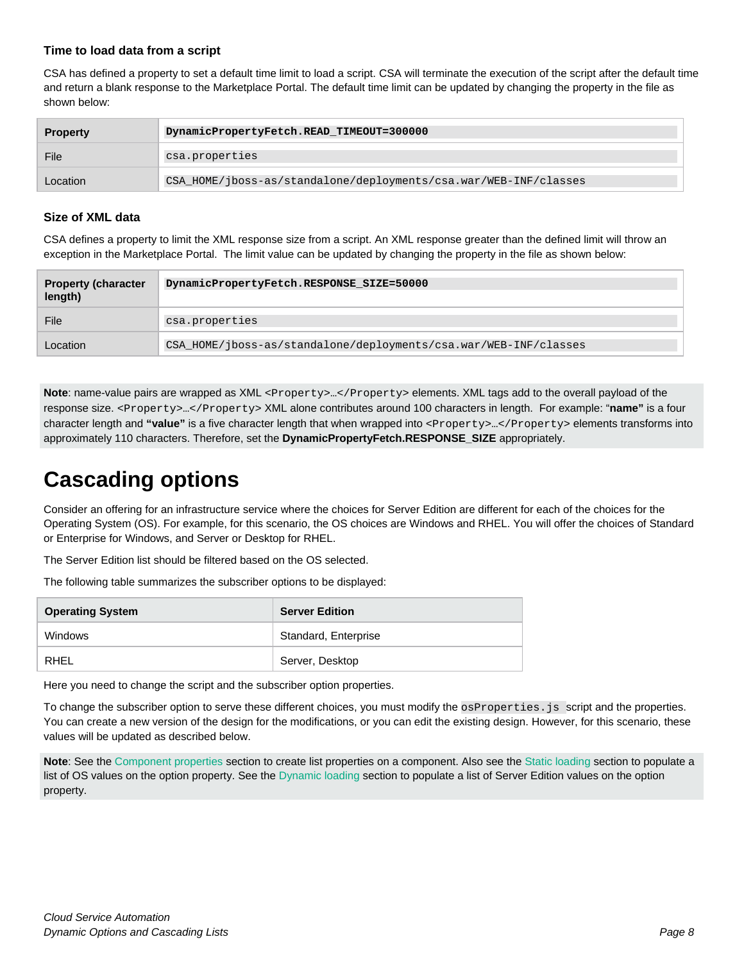#### **Time to load data from a script**

CSA has defined a property to set a default time limit to load a script. CSA will terminate the execution of the script after the default time and return a blank response to the Marketplace Portal. The default time limit can be updated by changing the property in the file as shown below:

| <b>Property</b> | DynamicPropertyFetch.READ_TIMEOUT=300000                         |
|-----------------|------------------------------------------------------------------|
| File            | csa.properties                                                   |
| Location        | CSA HOME/jboss-as/standalone/deployments/csa.war/WEB-INF/classes |

#### **Size of XML data**

CSA defines a property to limit the XML response size from a script. An XML response greater than the defined limit will throw an exception in the Marketplace Portal. The limit value can be updated by changing the property in the file as shown below:

| <b>Property (character</b><br>length) | DynamicPropertyFetch.RESPONSE SIZE=50000                         |
|---------------------------------------|------------------------------------------------------------------|
| File                                  | csa.properties                                                   |
| Location                              | CSA HOME/jboss-as/standalone/deployments/csa.war/WEB-INF/classes |

Note: name-value pairs are wrapped as XML <Property>...</Property> elements. XML tags add to the overall payload of the response size. <Property>…</Property> XML alone contributes around 100 characters in length. For example: "**name"** is a four character length and "value" is a five character length that when wrapped into <Property>...</Property> elements transforms into approximately 110 characters. Therefore, set the **DynamicPropertyFetch.RESPONSE\_SIZE** appropriately.

## <span id="page-7-0"></span>**Cascading options**

Consider an offering for an infrastructure service where the choices for Server Edition are different for each of the choices for the Operating System (OS). For example, for this scenario, the OS choices are Windows and RHEL. You will offer the choices of Standard or Enterprise for Windows, and Server or Desktop for RHEL.

The Server Edition list should be filtered based on the OS selected.

The following table summarizes the subscriber options to be displayed:

| <b>Operating System</b> | <b>Server Edition</b> |
|-------------------------|-----------------------|
| Windows                 | Standard, Enterprise  |
| RHFL                    | Server, Desktop       |

Here you need to change the script and the subscriber option properties.

To change the subscriber option to serve these different choices, you must modify the osProperties. js script and the properties. You can create a new version of the design for the modifications, or you can edit the existing design. However, for this scenario, these values will be updated as described below.

**Note**: See the [Component properties](#page-2-2) section to create list properties on a component. Also see the [Static loading](#page-3-0) section to populate a list of OS values on the option property. See th[e Dynamic loading](#page-4-0) section to populate a list of Server Edition values on the option property.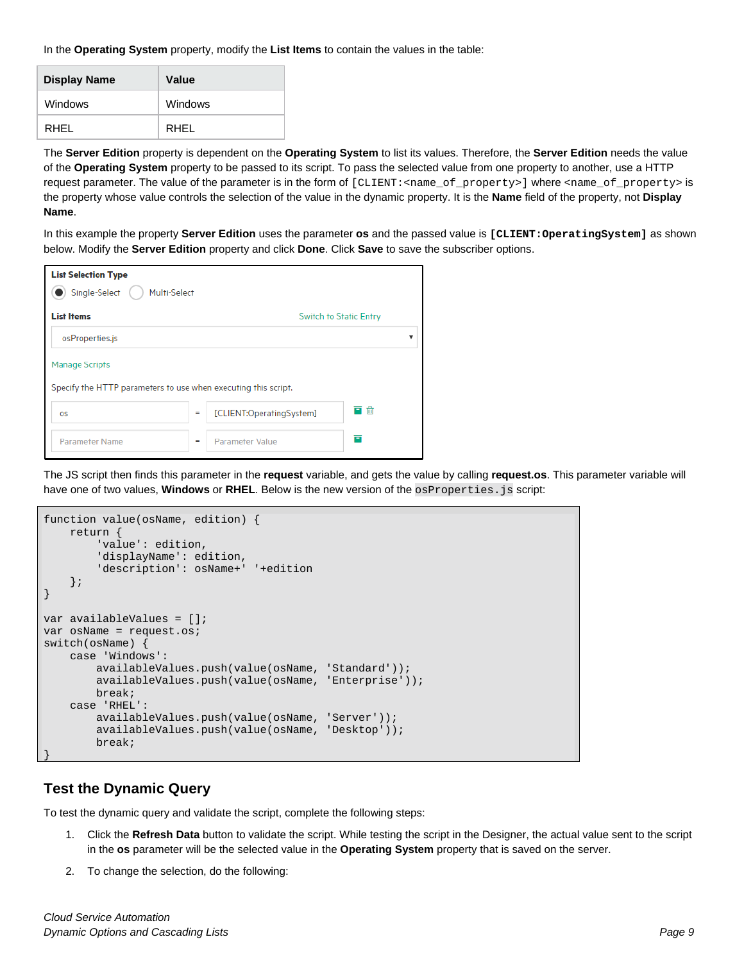In the **Operating System** property, modify the **List Items** to contain the values in the table:

| <b>Display Name</b> | Value   |
|---------------------|---------|
| Windows             | Windows |
| RHFL                | RHFL    |

The **Server Edition** property is dependent on the **Operating System** to list its values. Therefore, the **Server Edition** needs the value of the **Operating System** property to be passed to its script. To pass the selected value from one property to another, use a HTTP request parameter. The value of the parameter is in the form of [CLIENT:<name\_of\_property>] where <name\_of\_property> is the property whose value controls the selection of the value in the dynamic property. It is the **Name** field of the property, not **Display Name**.

In this example the property **Server Edition** uses the parameter **os** and the passed value is **[CLIENT:OperatingSystem]** as shown below. Modify the **Server Edition** property and click **Done**. Click **Save** to save the subscriber options.

| <b>List Selection Type</b>                                     |     |                               |    |
|----------------------------------------------------------------|-----|-------------------------------|----|
| Single-Select<br>Multi-Select                                  |     |                               |    |
| <b>List Items</b>                                              |     | <b>Switch to Static Entry</b> |    |
| osProperties.js                                                |     |                               |    |
| <b>Manage Scripts</b>                                          |     |                               |    |
| Specify the HTTP parameters to use when executing this script. |     |                               |    |
| <b>OS</b>                                                      | $=$ | [CLIENT:OperatingSystem]      | 三命 |
| Parameter Name                                                 | $=$ | <b>Parameter Value</b>        | Ē  |

The JS script then finds this parameter in the **request** variable, and gets the value by calling **request.os**. This parameter variable will have one of two values, **Windows** or **RHEL**. Below is the new version of the osProperties. js script:

```
function value(osName, edition) {
     return {
         'value': edition,
         'displayName': edition,
         'description': osName+' '+edition
     };
}
var availableValues = []; 
var osName = request.os;
switch(osName) {
     case 'Windows':
         availableValues.push(value(osName, 'Standard'));
         availableValues.push(value(osName, 'Enterprise'));
         break;
     case 'RHEL':
         availableValues.push(value(osName, 'Server'));
         availableValues.push(value(osName, 'Desktop'));
         break;
}
```
### <span id="page-8-0"></span>**Test the Dynamic Query**

To test the dynamic query and validate the script, complete the following steps:

- 1. Click the **Refresh Data** button to validate the script. While testing the script in the Designer, the actual value sent to the script in the **os** parameter will be the selected value in the **Operating System** property that is saved on the server.
- 2. To change the selection, do the following: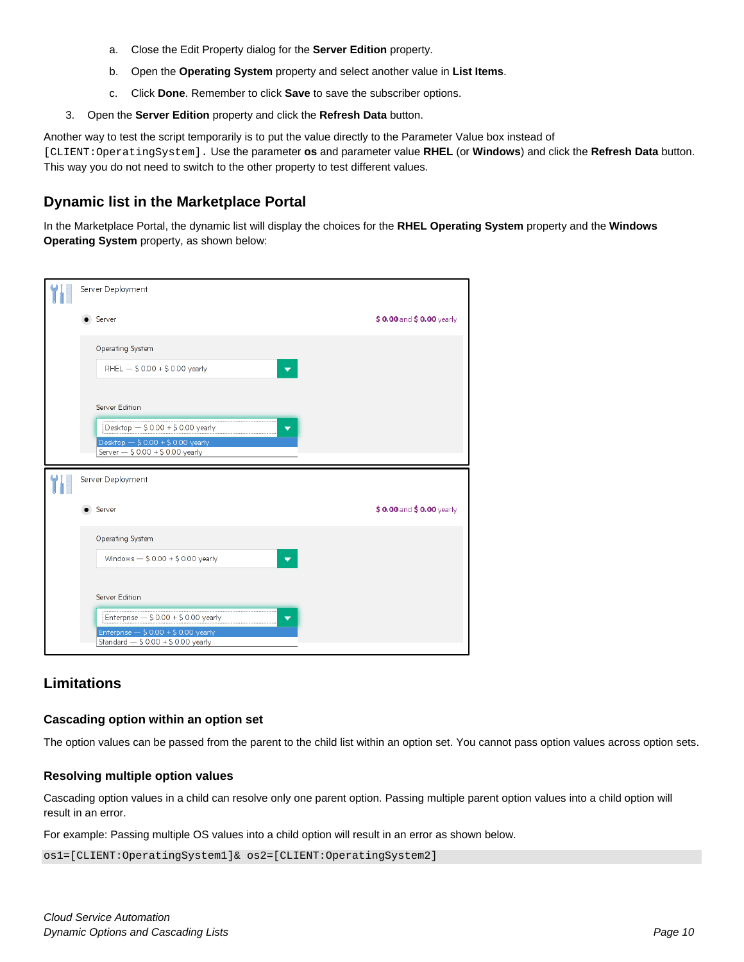- a. Close the Edit Property dialog for the **Server Edition** property.
- b. Open the **Operating System** property and select another value in **List Items**.
- c. Click **Done**. Remember to click **Save** to save the subscriber options.
- 3. Open the **Server Edition** property and click the **Refresh Data** button.

Another way to test the script temporarily is to put the value directly to the Parameter Value box instead of [CLIENT:OperatingSystem]. Use the parameter **os** and parameter value **RHEL** (or **Windows**) and click the **Refresh Data** button. This way you do not need to switch to the other property to test different values.

### <span id="page-9-0"></span>**Dynamic list in the Marketplace Portal**

In the Marketplace Portal, the dynamic list will display the choices for the **RHEL Operating System** property and the **Windows Operating System** property, as shown below:



### <span id="page-9-1"></span>**Limitations**

#### **Cascading option within an option set**

The option values can be passed from the parent to the child list within an option set. You cannot pass option values across option sets.

#### **Resolving multiple option values**

Cascading option values in a child can resolve only one parent option. Passing multiple parent option values into a child option will result in an error.

For example: Passing multiple OS values into a child option will result in an error as shown below.

os1=[CLIENT:OperatingSystem1]& os2=[CLIENT:OperatingSystem2]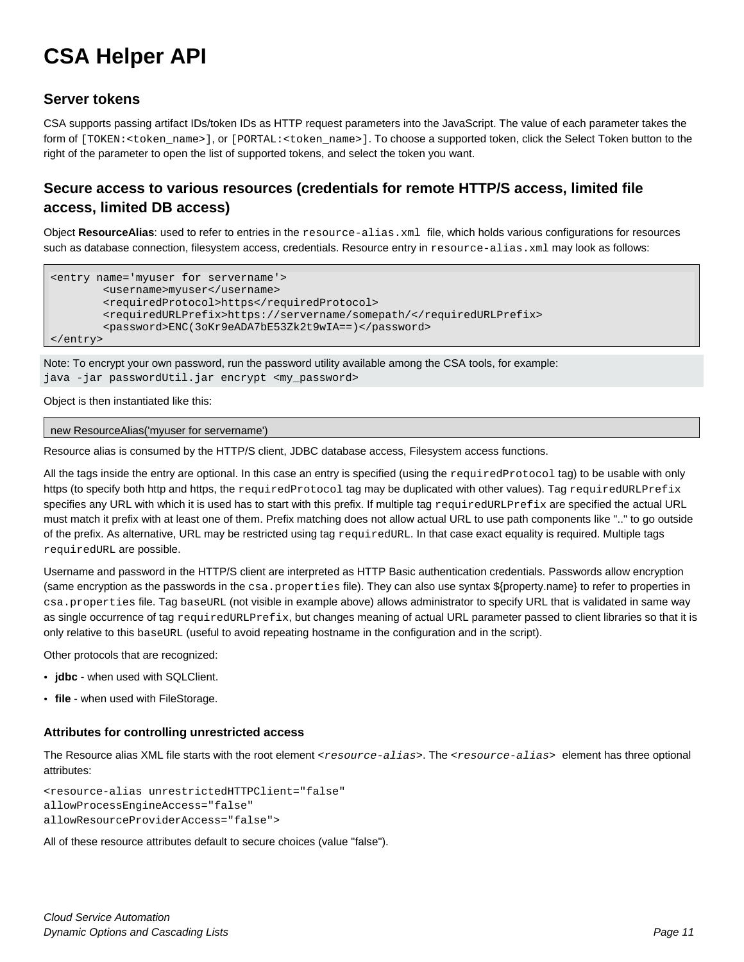## <span id="page-10-0"></span>**CSA Helper API**

### <span id="page-10-1"></span>**Server tokens**

CSA supports passing artifact IDs/token IDs as HTTP request parameters into the JavaScript. The value of each parameter takes the form of [TOKEN:<token\_name>], or [PORTAL:<token\_name>]. To choose a supported token, click the Select Token button to the right of the parameter to open the list of supported tokens, and select the token you want.

## <span id="page-10-2"></span>**Secure access to various resources (credentials for remote HTTP/S access, limited file access, limited DB access)**

Object **ResourceAlias**: used to refer to entries in the resource-alias.xml file, which holds various configurations for resources such as database connection, filesystem access, credentials. Resource entry in resource-alias.xml may look as follows:

```
<entry name='myuser for servername'>
         <username>myuser</username>
         <requiredProtocol>https</requiredProtocol>
         <requiredURLPrefix>https://servername/somepath/</requiredURLPrefix>
         <password>ENC(3oKr9eADA7bE53Zk2t9wIA==)</password>
</entry>
```
Note: To encrypt your own password, run the password utility available among the CSA tools, for example:

java -jar passwordUtil.jar encrypt <my\_password>

Object is then instantiated like this:

```
new ResourceAlias('myuser for servername')
```
Resource alias is consumed by the HTTP/S client, JDBC database access, Filesystem access functions.

All the tags inside the entry are optional. In this case an entry is specified (using the requiredProtocol tag) to be usable with only https (to specify both http and https, the requiredProtocol tag may be duplicated with other values). Tag requiredURLPrefix specifies any URL with which it is used has to start with this prefix. If multiple tag requiredURLPrefix are specified the actual URL must match it prefix with at least one of them. Prefix matching does not allow actual URL to use path components like ".." to go outside of the prefix. As alternative, URL may be restricted using tag requiredURL. In that case exact equality is required. Multiple tags requiredURL are possible.

Username and password in the HTTP/S client are interpreted as HTTP Basic authentication credentials. Passwords allow encryption (same encryption as the passwords in the csa.properties file). They can also use syntax \${property.name} to refer to properties in csa.properties file. Tag baseURL (not visible in example above) allows administrator to specify URL that is validated in same way as single occurrence of tag requiredURLPrefix, but changes meaning of actual URL parameter passed to client libraries so that it is only relative to this baseURL (useful to avoid repeating hostname in the configuration and in the script).

Other protocols that are recognized:

- **jdbc** when used with SQLClient.
- **file** when used with FileStorage.

#### **Attributes for controlling unrestricted access**

The Resource alias XML file starts with the root element <*resource-alias*>. The <*resource-alias*> element has three optional attributes:

<resource-alias unrestrictedHTTPClient="false" allowProcessEngineAccess="false" allowResourceProviderAccess="false">

All of these resource attributes default to secure choices (value "false").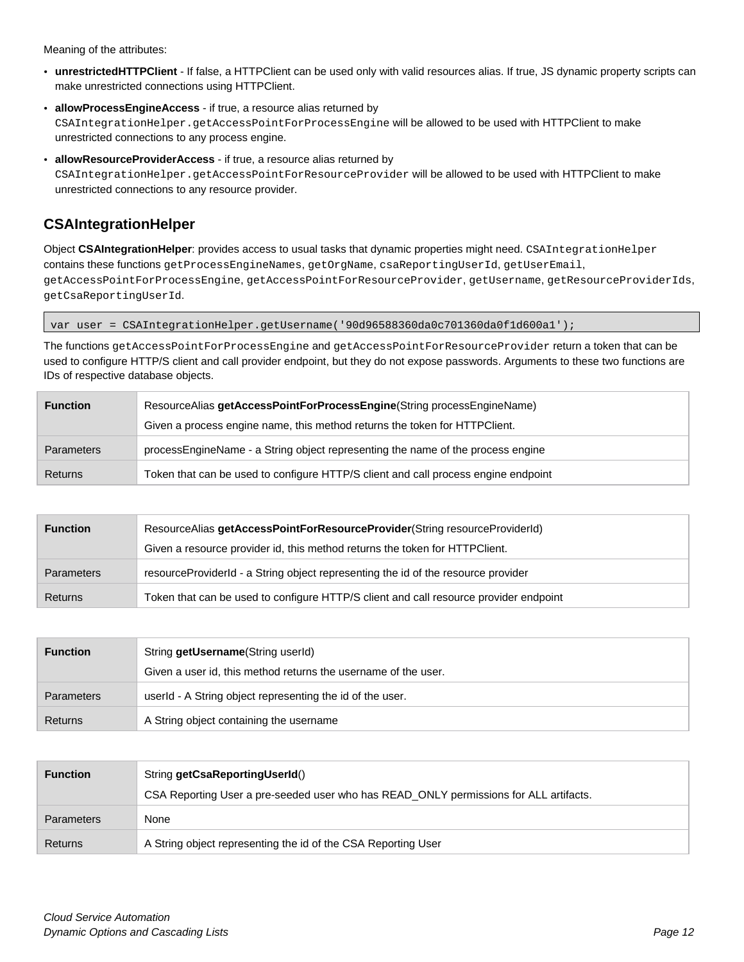Meaning of the attributes:

- **unrestrictedHTTPClient** If false, a HTTPClient can be used only with valid resources alias. If true, JS dynamic property scripts can make unrestricted connections using HTTPClient.
- **allowProcessEngineAccess** if true, a resource alias returned by CSAIntegrationHelper.getAccessPointForProcessEngine will be allowed to be used with HTTPClient to make unrestricted connections to any process engine.
- **allowResourceProviderAccess** if true, a resource alias returned by CSAIntegrationHelper.getAccessPointForResourceProvider will be allowed to be used with HTTPClient to make unrestricted connections to any resource provider.

## <span id="page-11-0"></span>**CSAIntegrationHelper**

Object **CSAIntegrationHelper**: provides access to usual tasks that dynamic properties might need. CSAIntegrationHelper contains these functions getProcessEngineNames, getOrgName, csaReportingUserId, getUserEmail, getAccessPointForProcessEngine, getAccessPointForResourceProvider, getUsername, getResourceProviderIds, getCsaReportingUserId.

var user = CSAIntegrationHelper.getUsername('90d96588360da0c701360da0f1d600a1');

The functions getAccessPointForProcessEngine and getAccessPointForResourceProvider return a token that can be used to configure HTTP/S client and call provider endpoint, but they do not expose passwords. Arguments to these two functions are IDs of respective database objects.

| <b>Function</b>   | ResourceAlias getAccessPointForProcessEngine(String processEngineName)             |
|-------------------|------------------------------------------------------------------------------------|
|                   | Given a process engine name, this method returns the token for HTTPClient.         |
| <b>Parameters</b> | processEngineName - a String object representing the name of the process engine    |
| Returns           | Token that can be used to configure HTTP/S client and call process engine endpoint |

| <b>Function</b>   | ResourceAlias getAccessPointForResourceProvider(String resourceProviderId)            |
|-------------------|---------------------------------------------------------------------------------------|
|                   | Given a resource provider id, this method returns the token for HTTPClient.           |
| <b>Parameters</b> | resource ProviderId - a String object representing the id of the resource provider    |
| Returns           | Token that can be used to configure HTTP/S client and call resource provider endpoint |

| <b>Function</b>   | String getUsername (String userId)                             |
|-------------------|----------------------------------------------------------------|
|                   | Given a user id, this method returns the username of the user. |
| <b>Parameters</b> | userId - A String object representing the id of the user.      |
| Returns           | A String object containing the username                        |

| <b>Function</b>   | String getCsaReportingUserId()                                                        |
|-------------------|---------------------------------------------------------------------------------------|
|                   | CSA Reporting User a pre-seeded user who has READ ONLY permissions for ALL artifacts. |
| <b>Parameters</b> | None                                                                                  |
| Returns           | A String object representing the id of the CSA Reporting User                         |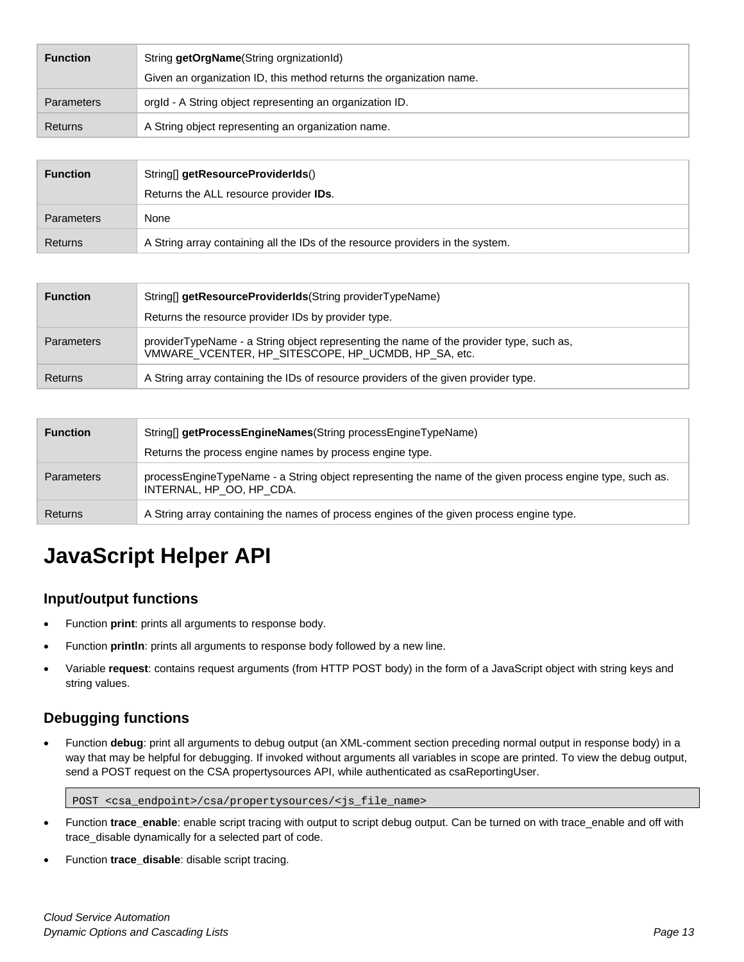| <b>Function</b>   | String getOrgName(String orgnizationId)                              |
|-------------------|----------------------------------------------------------------------|
|                   | Given an organization ID, this method returns the organization name. |
| <b>Parameters</b> | orgld - A String object representing an organization ID.             |
| Returns           | A String object representing an organization name.                   |

| <b>Function</b> | String[] getResourceProviderIds()                                              |
|-----------------|--------------------------------------------------------------------------------|
|                 | Returns the ALL resource provider <b>IDs</b> .                                 |
| Parameters      | None                                                                           |
| Returns         | A String array containing all the IDs of the resource providers in the system. |

| <b>Function</b>   | String[] getResourceProviderIds(String providerTypeName)                                                                                       |
|-------------------|------------------------------------------------------------------------------------------------------------------------------------------------|
|                   | Returns the resource provider IDs by provider type.                                                                                            |
| <b>Parameters</b> | providerTypeName - a String object representing the name of the provider type, such as,<br>VMWARE_VCENTER, HP_SITESCOPE, HP_UCMDB, HP_SA, etc. |
| Returns           | A String array containing the IDs of resource providers of the given provider type.                                                            |

| <b>Function</b>   | String[] getProcessEngineNames(String processEngineTypeName)                                                                         |
|-------------------|--------------------------------------------------------------------------------------------------------------------------------------|
|                   | Returns the process engine names by process engine type.                                                                             |
| <b>Parameters</b> | processEngineTypeName - a String object representing the name of the given process engine type, such as.<br>INTERNAL. HP OO. HP CDA. |
| Returns           | A String array containing the names of process engines of the given process engine type.                                             |

## <span id="page-12-0"></span>**JavaScript Helper API**

## <span id="page-12-1"></span>**Input/output functions**

- Function **print**: prints all arguments to response body.
- Function **println**: prints all arguments to response body followed by a new line.
- Variable **request**: contains request arguments (from HTTP POST body) in the form of a JavaScript object with string keys and string values.

## <span id="page-12-2"></span>**Debugging functions**

• Function **debug**: print all arguments to debug output (an XML-comment section preceding normal output in response body) in a way that may be helpful for debugging. If invoked without arguments all variables in scope are printed. To view the debug output, send a POST request on the CSA propertysources API, while authenticated as csaReportingUser.

POST <csa\_endpoint>/csa/propertysources/<js\_file\_name>

- Function **trace\_enable**: enable script tracing with output to script debug output. Can be turned on with trace\_enable and off with trace\_disable dynamically for a selected part of code.
- Function **trace\_disable**: disable script tracing.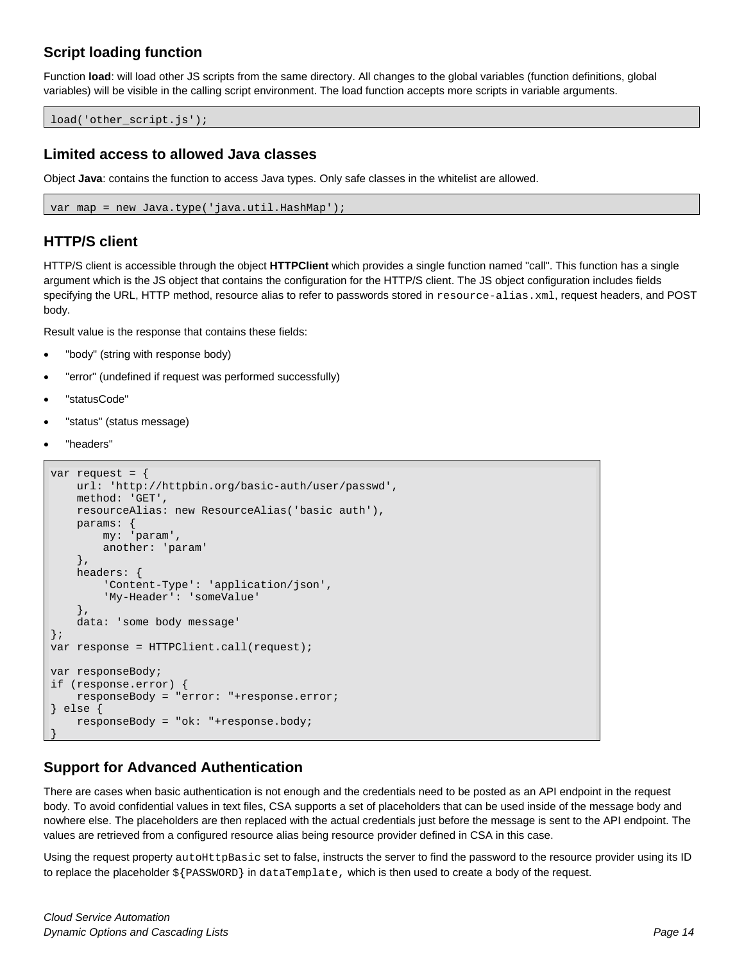## <span id="page-13-0"></span>**Script loading function**

Function **load**: will load other JS scripts from the same directory. All changes to the global variables (function definitions, global variables) will be visible in the calling script environment. The load function accepts more scripts in variable arguments.

<span id="page-13-1"></span>load('other\_script.js');

### **Limited access to allowed Java classes**

Object **Java**: contains the function to access Java types. Only safe classes in the whitelist are allowed.

```
var map = new Java.type('java.util.HashMap');
```
### **HTTP/S client**

HTTP/S client is accessible through the object **HTTPClient** which provides a single function named "call". This function has a single argument which is the JS object that contains the configuration for the HTTP/S client. The JS object configuration includes fields specifying the URL, HTTP method, resource alias to refer to passwords stored in resource-alias.xml, request headers, and POST body.

Result value is the response that contains these fields:

- "body" (string with response body)
- "error" (undefined if request was performed successfully)
- "statusCode"
- "status" (status message)
- "headers"

```
var request = {
     url: 'http://httpbin.org/basic-auth/user/passwd',
     method: 'GET',
     resourceAlias: new ResourceAlias('basic auth'),
     params: {
         my: 'param',
         another: 'param'
     },
     headers: {
         'Content-Type': 'application/json',
         'My-Header': 'someValue'
     },
     data: 'some body message'
};
var response = HTTPClient.call(request);
var responseBody;
if (response.error) {
     responseBody = "error: "+response.error;
} else {
     responseBody = "ok: "+response.body;
}
```
## <span id="page-13-3"></span>**Support for Advanced Authentication**

There are cases when basic authentication is not enough and the credentials need to be posted as an API endpoint in the request body. To avoid confidential values in text files, CSA supports a set of placeholders that can be used inside of the message body and nowhere else. The placeholders are then replaced with the actual credentials just before the message is sent to the API endpoint. The values are retrieved from a configured resource alias being resource provider defined in CSA in this case.

Using the request property autoHttpBasic set to false, instructs the server to find the password to the resource provider using its ID to replace the placeholder \${PASSWORD} in dataTemplate, which is then used to create a body of the request.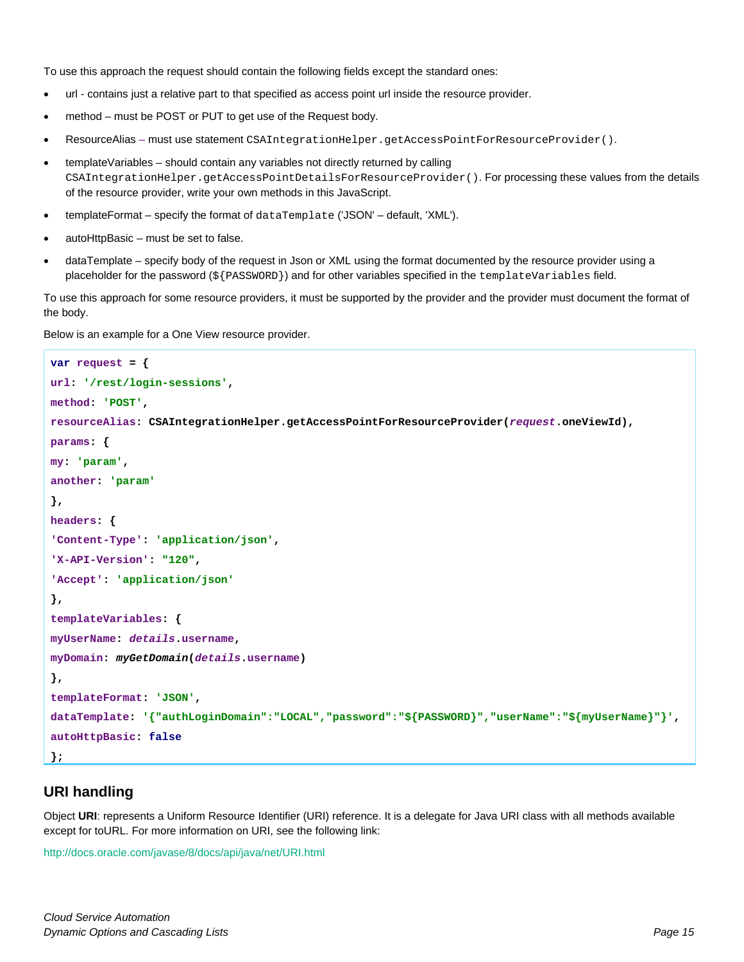To use this approach the request should contain the following fields except the standard ones:

- url contains just a relative part to that specified as access point url inside the resource provider.
- method must be POST or PUT to get use of the Request body.
- ResourceAlias must use statement CSAIntegrationHelper.getAccessPointForResourceProvider().
- templateVariables should contain any variables not directly returned by calling CSAIntegrationHelper.getAccessPointDetailsForResourceProvider(). For processing these values from the details of the resource provider, write your own methods in this JavaScript.
- templateFormat specify the format of dataTemplate ('JSON' default, 'XML').
- autoHttpBasic must be set to false.
- dataTemplate specify body of the request in Json or XML using the format documented by the resource provider using a placeholder for the password (\${PASSWORD}) and for other variables specified in the templateVariables field.

To use this approach for some resource providers, it must be supported by the provider and the provider must document the format of the body.

Below is an example for a One View resource provider.

```
var request = {
url: '/rest/login-sessions',
method: 'POST',
resourceAlias: CSAIntegrationHelper.getAccessPointForResourceProvider(request.oneViewId),
params: {
my: 'param',
another: 'param'
},
headers: {
'Content-Type': 'application/json',
'X-API-Version': "120",
'Accept': 'application/json'
},
templateVariables: {
myUserName: details.username,
myDomain: myGetDomain(details.username)
},
templateFormat: 'JSON',
dataTemplate: '{"authLoginDomain":"LOCAL","password":"${PASSWORD}","userName":"${myUserName}"}',
autoHttpBasic: false
};
```
### <span id="page-14-0"></span>**URI handling**

Object **URI**: represents a Uniform Resource Identifier (URI) reference. It is a delegate for Java URI class with all methods available except for toURL. For more information on URI, see the following link:

<http://docs.oracle.com/javase/8/docs/api/java/net/URI.html>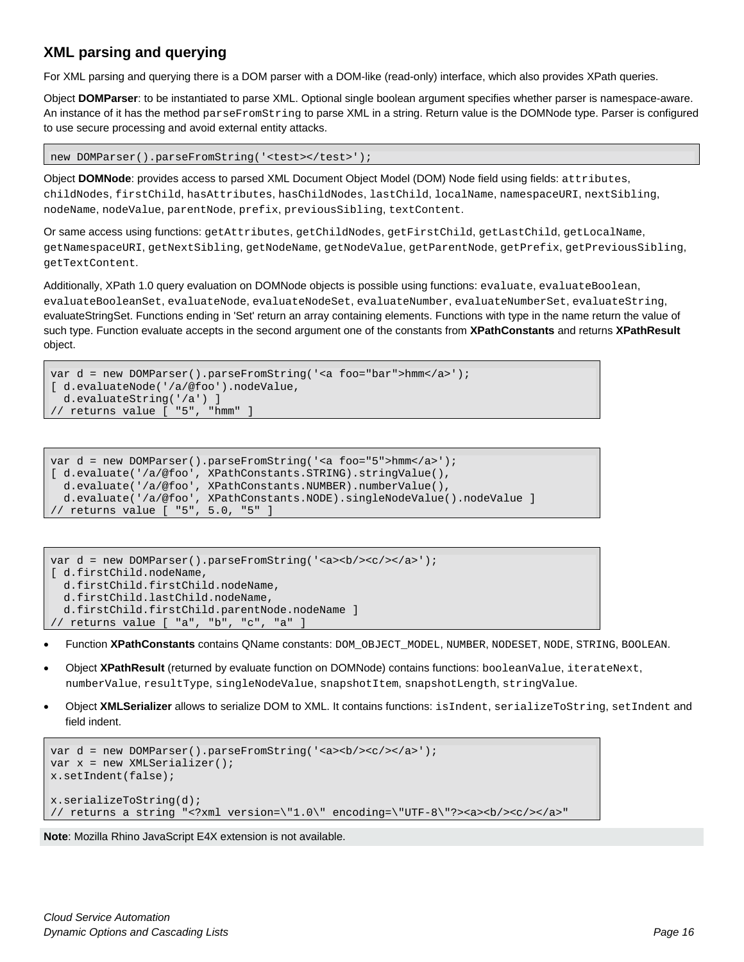## <span id="page-15-0"></span>**XML parsing and querying**

For XML parsing and querying there is a DOM parser with a DOM-like (read-only) interface, which also provides XPath queries.

Object **DOMParser**: to be instantiated to parse XML. Optional single boolean argument specifies whether parser is namespace-aware. An instance of it has the method parseFromString to parse XML in a string. Return value is the DOMNode type. Parser is configured to use secure processing and avoid external entity attacks.

```
new DOMParser().parseFromString('<test></test>');
```
Object **DOMNode**: provides access to parsed XML Document Object Model (DOM) Node field using fields: attributes, childNodes, firstChild, hasAttributes, hasChildNodes, lastChild, localName, namespaceURI, nextSibling, nodeName, nodeValue, parentNode, prefix, previousSibling, textContent.

Or same access using functions: getAttributes, getChildNodes, getFirstChild, getLastChild, getLocalName, getNamespaceURI, getNextSibling, getNodeName, getNodeValue, getParentNode, getPrefix, getPreviousSibling, getTextContent.

Additionally, XPath 1.0 query evaluation on DOMNode objects is possible using functions: evaluate, evaluateBoolean, evaluateBooleanSet, evaluateNode, evaluateNodeSet, evaluateNumber, evaluateNumberSet, evaluateString, evaluateStringSet. Functions ending in 'Set' return an array containing elements. Functions with type in the name return the value of such type. Function evaluate accepts in the second argument one of the constants from **XPathConstants** and returns **XPathResult**  object.

```
var d = new DOMParser().parseFromString('<a foo="bar">hmm</a>');
[ d.evaluateNode('/a/@foo').nodeValue,
   d.evaluateString('/a') ]
// returns value [ "5", "hmm" ]
```

```
var d = new DOMParser().parseFromString('<a foo="5">hmm</a>');
[ d.evaluate('/a/@foo', XPathConstants.STRING).stringValue(),
   d.evaluate('/a/@foo', XPathConstants.NUMBER).numberValue(),
   d.evaluate('/a/@foo', XPathConstants.NODE).singleNodeValue().nodeValue ]
 // returns value [ "5", 5.0, "5" ]
```

```
var d = new DOMParser().parseFromString('<a><br/>>b/><c/>></a>');
[ d.firstChild.nodeName,
   d.firstChild.firstChild.nodeName,
   d.firstChild.lastChild.nodeName,
   d.firstChild.firstChild.parentNode.nodeName ]
// returns value [ "a", "b", "c", "a" ]
```
- Function **XPathConstants** contains QName constants: DOM\_OBJECT\_MODEL, NUMBER, NODESET, NODE, STRING, BOOLEAN.
- Object **XPathResult** (returned by evaluate function on DOMNode) contains functions: booleanValue, iterateNext, numberValue, resultType, singleNodeValue, snapshotItem, snapshotLength, stringValue.
- Object **XMLSerializer** allows to serialize DOM to XML. It contains functions: isIndent, serializeToString, setIndent and field indent.

```
var d = new DOMParser().parseFromString('<a>>>>>><br/>c/>></a>');
var x = new XMLSerializer();
x.setIndent(false);
x.serializeToString(d);
// returns a string "<?xml version=\"1.0\" encoding=\"UTF-8\"?><a><b/><c/></a>"
```
**Note**: Mozilla Rhino JavaScript E4X extension is not available.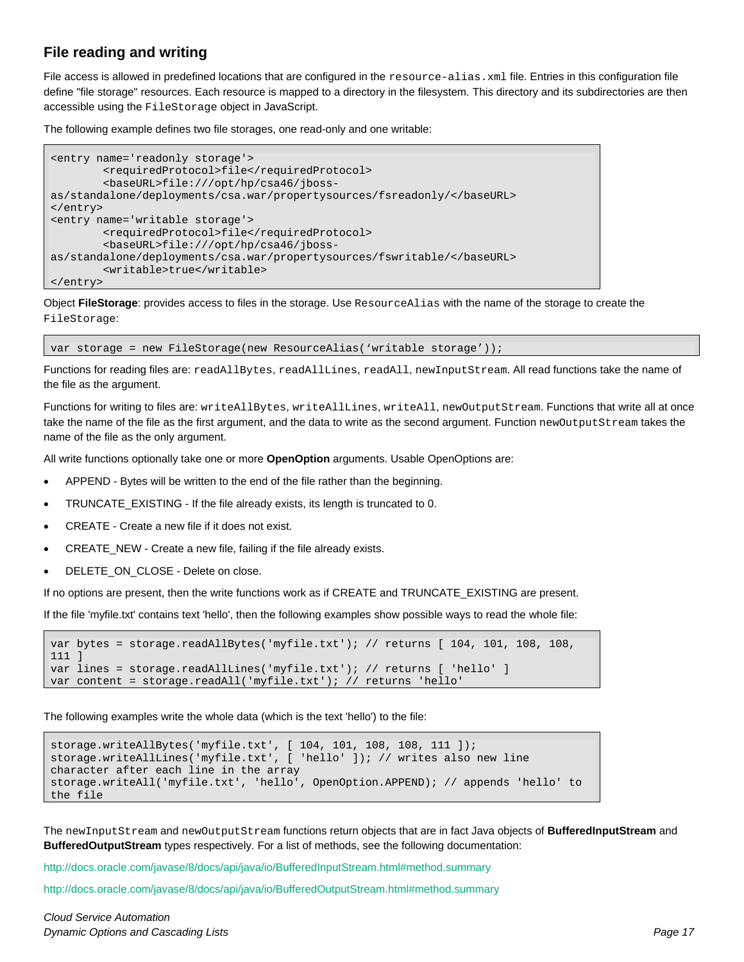## <span id="page-16-0"></span>**File reading and writing**

File access is allowed in predefined locations that are configured in the resource-alias.xml file. Entries in this configuration file define "file storage" resources. Each resource is mapped to a directory in the filesystem. This directory and its subdirectories are then accessible using the FileStorage object in JavaScript.

The following example defines two file storages, one read-only and one writable:

```
<entry name='readonly storage'>
         <requiredProtocol>file</requiredProtocol>
         <baseURL>file:///opt/hp/csa46/jboss-
as/standalone/deployments/csa.war/propertysources/fsreadonly/</baseURL>
</entry>
<entry name='writable storage'>
         <requiredProtocol>file</requiredProtocol>
         <baseURL>file:///opt/hp/csa46/jboss-
as/standalone/deployments/csa.war/propertysources/fswritable/</baseURL>
         <writable>true</writable>
</entry>
```
Object **FileStorage**: provides access to files in the storage. Use ResourceAlias with the name of the storage to create the FileStorage:

var storage = new FileStorage(new ResourceAlias('writable storage'));

Functions for reading files are: readAllBytes, readAllLines, readAll, newInputStream. All read functions take the name of the file as the argument.

Functions for writing to files are: writeAllBytes, writeAllLines, writeAll, newOutputStream. Functions that write all at once take the name of the file as the first argument, and the data to write as the second argument. Function newOutputStream takes the name of the file as the only argument.

All write functions optionally take one or more **OpenOption** arguments. Usable OpenOptions are:

- APPEND Bytes will be written to the end of the file rather than the beginning.
- TRUNCATE\_EXISTING If the file already exists, its length is truncated to 0.
- CREATE Create a new file if it does not exist.
- CREATE\_NEW Create a new file, failing if the file already exists.
- DELETE\_ON\_CLOSE Delete on close.

If no options are present, then the write functions work as if CREATE and TRUNCATE\_EXISTING are present.

If the file 'myfile.txt' contains text 'hello', then the following examples show possible ways to read the whole file:

```
var bytes = storage.readAllBytes('myfile.txt'); // returns [ 104, 101, 108, 108, 
111 ]
var lines = storage.readAllLines('myfile.txt'); // returns [ 'hello' ]
var content = storage.readAll('myfile.txt'); // returns 'hello'
```
The following examples write the whole data (which is the text 'hello') to the file:

```
storage.writeAllBytes('myfile.txt', [ 104, 101, 108, 108, 111 ]);
storage.writeAllLines('myfile.txt', [ 'hello' ]); // writes also new line 
character after each line in the array
storage.writeAll('myfile.txt', 'hello', OpenOption.APPEND); // appends 'hello' to 
the file
```
The newInputStream and newOutputStream functions return objects that are in fact Java objects of **BufferedInputStream** and **BufferedOutputStream** types respectively. For a list of methods, see the following documentation:

[http://docs.oracle.com/javase/8/docs/api/java/io/BufferedInputStream.html#method.summary](http://docs.oracle.com/javase/8/docs/api/java/io/BufferedInputStream.html%23method.summary)

[http://docs.oracle.com/javase/8/docs/api/java/io/BufferedOutputStream.html#method.summary](http://docs.oracle.com/javase/8/docs/api/java/io/BufferedOutputStream.html%23method.summary)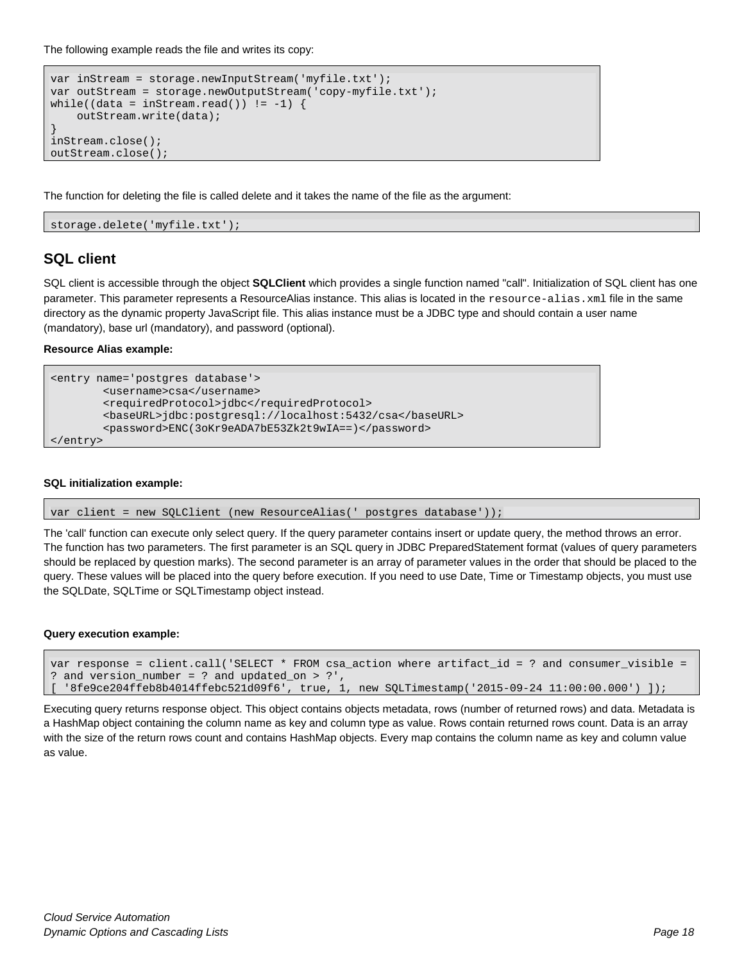The following example reads the file and writes its copy:

```
var inStream = storage.newInputStream('myfile.txt');
var outStream = storage.newOutputStream('copy-myfile.txt');
while((data = inStream.read()) != -1) {
     outStream.write(data);
}
inStream.close();
outStream.close();
```
The function for deleting the file is called delete and it takes the name of the file as the argument:

<span id="page-17-0"></span>storage.delete('myfile.txt');

#### **SQL client**

SQL client is accessible through the object **SQLClient** which provides a single function named "call". Initialization of SQL client has one parameter. This parameter represents a ResourceAlias instance. This alias is located in the resource-alias.xml file in the same directory as the dynamic property JavaScript file. This alias instance must be a JDBC type and should contain a user name (mandatory), base url (mandatory), and password (optional).

**Resource Alias example:**

```
<entry name='postgres database'>
         <username>csa</username>
         <requiredProtocol>jdbc</requiredProtocol>
         <baseURL>jdbc:postgresql://localhost:5432/csa</baseURL>
         <password>ENC(3oKr9eADA7bE53Zk2t9wIA==)</password>
</entry>
```
#### **SQL initialization example:**

var client = new SQLClient (new ResourceAlias(' postgres database'));

The 'call' function can execute only select query. If the query parameter contains insert or update query, the method throws an error. The function has two parameters. The first parameter is an SQL query in JDBC PreparedStatement format (values of query parameters should be replaced by question marks). The second parameter is an array of parameter values in the order that should be placed to the query. These values will be placed into the query before execution. If you need to use Date, Time or Timestamp objects, you must use the SQLDate, SQLTime or SQLTimestamp object instead.

#### **Query execution example:**

```
var response = client.call('SELECT * FROM csa_action where artifact_id = ? and consumer_visible =
? and version_number = ? and updated_on > ?',
[ '8fe9ce204ffeb8b4014ffebc521d09f6', true, 1, new SQLTimestamp('2015-09-24 11:00:00.000') ]);
```
Executing query returns response object. This object contains objects metadata, rows (number of returned rows) and data. Metadata is a HashMap object containing the column name as key and column type as value. Rows contain returned rows count. Data is an array with the size of the return rows count and contains HashMap objects. Every map contains the column name as key and column value as value.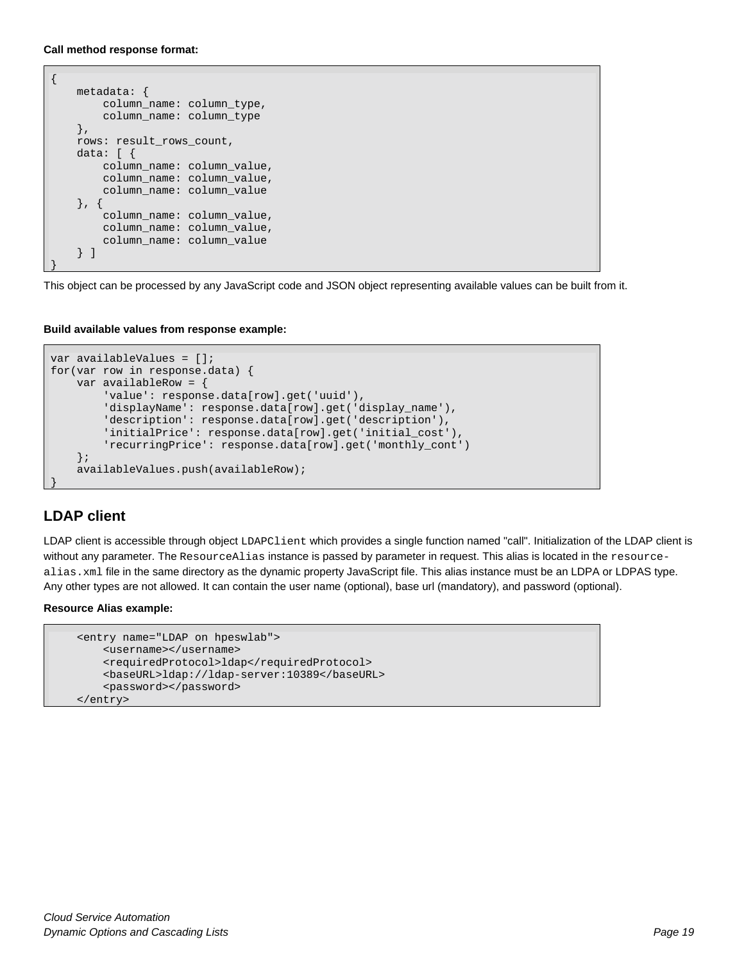**Call method response format:**

```
{
     metadata: {
         column_name: column_type,
         column_name: column_type
     },
    rows: result_rows_count,
     data: [ {
         column_name: column_value,
         column_name: column_value,
         column_name: column_value
     }, {
         column_name: column_value,
         column_name: column_value,
         column_name: column_value
     } ]
}
```
This object can be processed by any JavaScript code and JSON object representing available values can be built from it.

**Build available values from response example:**

```
var availableValues = [];
for(var row in response.data) {
    var availableRow = {
         'value': response.data[row].get('uuid'),
         'displayName': response.data[row].get('display_name'),
         'description': response.data[row].get('description'),
         'initialPrice': response.data[row].get('initial_cost'),
         'recurringPrice': response.data[row].get('monthly_cont')
     };
     availableValues.push(availableRow);
}
```
## <span id="page-18-0"></span>**LDAP client**

LDAP client is accessible through object LDAPClient which provides a single function named "call". Initialization of the LDAP client is without any parameter. The ResourceAlias instance is passed by parameter in request. This alias is located in the resourcealias.xml file in the same directory as the dynamic property JavaScript file. This alias instance must be an LDPA or LDPAS type. Any other types are not allowed. It can contain the user name (optional), base url (mandatory), and password (optional).

#### **Resource Alias example:**

```
 <entry name="LDAP on hpeswlab">
    <username></username>
    <requiredProtocol>ldap</requiredProtocol>
     <baseURL>ldap://ldap-server:10389</baseURL>
     <password></password>
 </entry>
```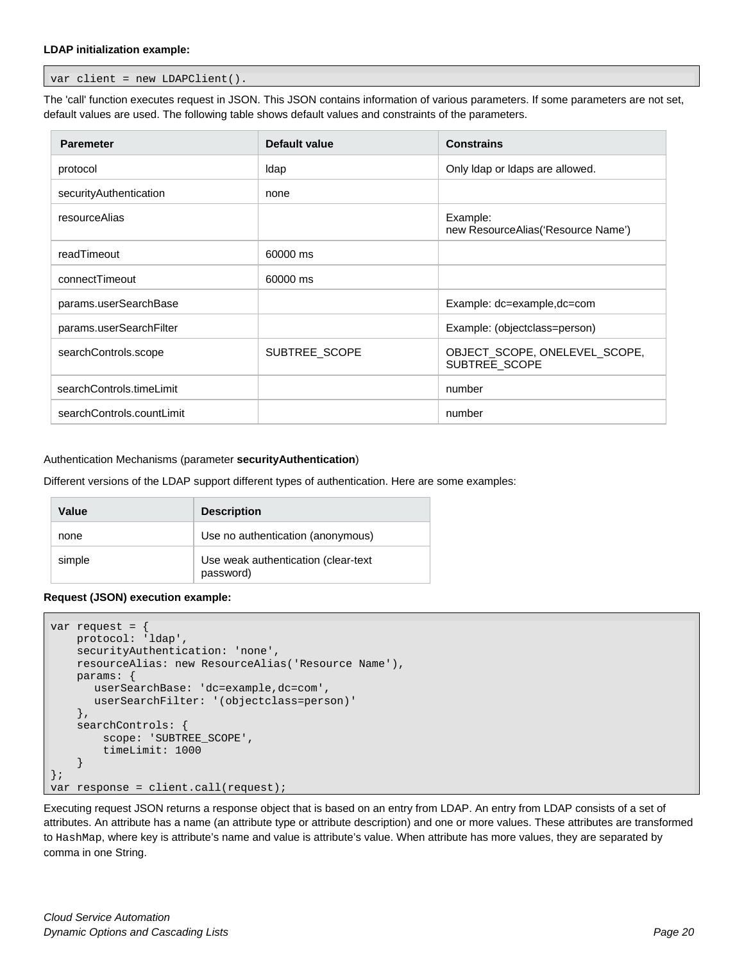#### **LDAP initialization example:**

var client = new LDAPClient().

The 'call' function executes request in JSON. This JSON contains information of various parameters. If some parameters are not set, default values are used. The following table shows default values and constraints of the parameters.

| <b>Paremeter</b>          | Default value | <b>Constrains</b>                               |
|---------------------------|---------------|-------------------------------------------------|
| protocol                  | Idap          | Only Idap or Idaps are allowed.                 |
| securityAuthentication    | none          |                                                 |
| resourceAlias             |               | Example:<br>new ResourceAlias ('Resource Name') |
| readTimeout               | 60000 ms      |                                                 |
| connectTimeout            | 60000 ms      |                                                 |
| params.userSearchBase     |               | Example: dc=example, dc=com                     |
| params.userSearchFilter   |               | Example: (objectclass=person)                   |
| searchControls.scope      | SUBTREE SCOPE | OBJECT_SCOPE, ONELEVEL_SCOPE,<br>SUBTREE_SCOPE  |
| searchControls.timeLimit  |               | number                                          |
| searchControls.countLimit |               | number                                          |

#### Authentication Mechanisms (parameter **securityAuthentication**)

Different versions of the LDAP support different types of authentication. Here are some examples:

| Value  | <b>Description</b>                               |
|--------|--------------------------------------------------|
| none   | Use no authentication (anonymous)                |
| simple | Use weak authentication (clear-text<br>password) |

#### **Request (JSON) execution example:**

```
var request = {
     protocol: 'ldap',
     securityAuthentication: 'none',
     resourceAlias: new ResourceAlias('Resource Name'),
     params: {
        userSearchBase: 'dc=example,dc=com',
        userSearchFilter: '(objectclass=person)'
     },
     searchControls: {
          scope: 'SUBTREE_SCOPE',
          timeLimit: 1000
\left\{\begin{array}{ccc} \end{array}\right\}};
var response = client.call(request);
```
Executing request JSON returns a response object that is based on an entry from LDAP. An entry from LDAP consists of a set of attributes. An attribute has a name (an attribute type or attribute description) and one or more values. These attributes are transformed to HashMap, where key is attribute's name and value is attribute's value. When attribute has more values, they are separated by comma in one String.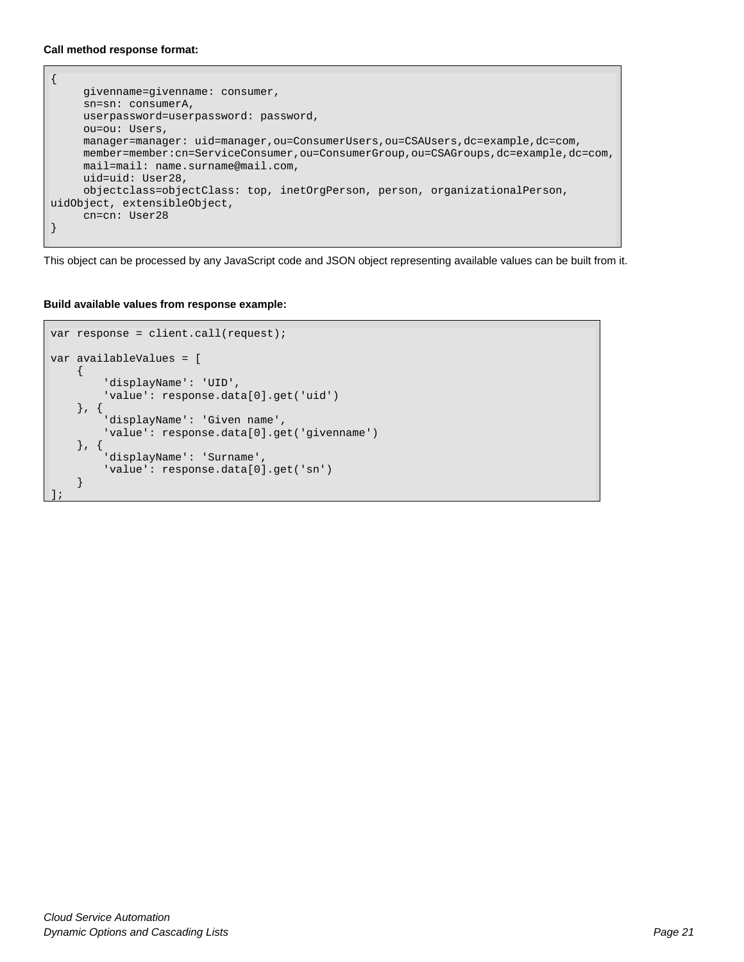#### **Call method response format:**

```
{ 
      givenname=givenname: consumer, 
      sn=sn: consumerA, 
      userpassword=userpassword: password, 
      ou=ou: Users, 
      manager=manager: uid=manager,ou=ConsumerUsers,ou=CSAUsers,dc=example,dc=com, 
      member=member:cn=ServiceConsumer,ou=ConsumerGroup,ou=CSAGroups,dc=example,dc=com, 
      mail=mail: name.surname@mail.com, 
      uid=uid: User28, 
      objectclass=objectClass: top, inetOrgPerson, person, organizationalPerson, 
uidObject, extensibleObject, 
      cn=cn: User28 
}
```
This object can be processed by any JavaScript code and JSON object representing available values can be built from it.

#### **Build available values from response example:**

```
var response = client.call(request);
var availableValues = [
    \left\{ \right. 'displayName': 'UID',
          'value': response.data[0].get('uid')
     }, {
          'displayName': 'Given name',
          'value': response.data[0].get('givenname')
     }, {
          'displayName': 'Surname',
          'value': response.data[0].get('sn')
     }
];
```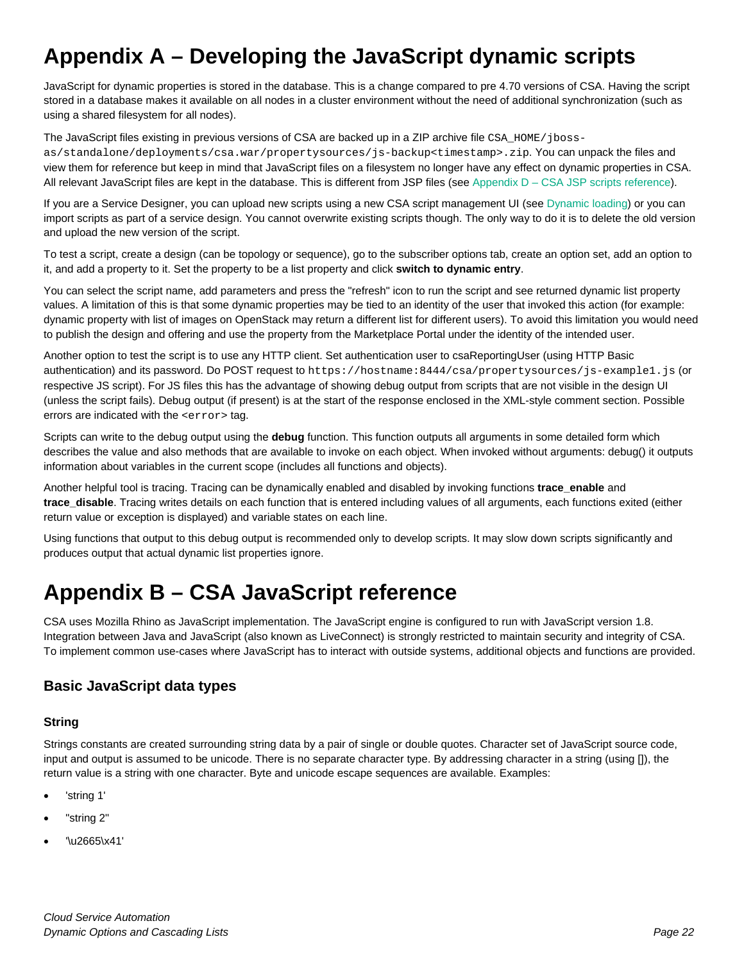## <span id="page-21-0"></span>**Appendix A – Developing the JavaScript dynamic scripts**

JavaScript for dynamic properties is stored in the database. This is a change compared to pre 4.70 versions of CSA. Having the script stored in a database makes it available on all nodes in a cluster environment without the need of additional synchronization (such as using a shared filesystem for all nodes).

The JavaScript files existing in previous versions of CSA are backed up in a ZIP archive file CSA\_HOME/jboss-

as/standalone/deployments/csa.war/propertysources/js-backup<timestamp>.zip. You can unpack the files and view them for reference but keep in mind that JavaScript files on a filesystem no longer have any effect on dynamic properties in CSA. All relevant JavaScript files are kept in the database. This is different from JSP files (see Appendix  $D - CSA$  JSP scripts reference).

If you are a Service Designer, you can upload new scripts using a new CSA script management UI (see [Dynamic loading\)](#page-4-0) or you can import scripts as part of a service design. You cannot overwrite existing scripts though. The only way to do it is to delete the old version and upload the new version of the script.

To test a script, create a design (can be topology or sequence), go to the subscriber options tab, create an option set, add an option to it, and add a property to it. Set the property to be a list property and click **switch to dynamic entry**.

You can select the script name, add parameters and press the "refresh" icon to run the script and see returned dynamic list property values. A limitation of this is that some dynamic properties may be tied to an identity of the user that invoked this action (for example: dynamic property with list of images on OpenStack may return a different list for different users). To avoid this limitation you would need to publish the design and offering and use the property from the Marketplace Portal under the identity of the intended user.

Another option to test the script is to use any HTTP client. Set authentication user to csaReportingUser (using HTTP Basic authentication) and its password. Do POST request to https://hostname:8444/csa/propertysources/js-example1.js (or respective JS script). For JS files this has the advantage of showing debug output from scripts that are not visible in the design UI (unless the script fails). Debug output (if present) is at the start of the response enclosed in the XML-style comment section. Possible errors are indicated with the <error> tag.

Scripts can write to the debug output using the **debug** function. This function outputs all arguments in some detailed form which describes the value and also methods that are available to invoke on each object. When invoked without arguments: debug() it outputs information about variables in the current scope (includes all functions and objects).

Another helpful tool is tracing. Tracing can be dynamically enabled and disabled by invoking functions **trace\_enable** and **trace\_disable**. Tracing writes details on each function that is entered including values of all arguments, each functions exited (either return value or exception is displayed) and variable states on each line.

Using functions that output to this debug output is recommended only to develop scripts. It may slow down scripts significantly and produces output that actual dynamic list properties ignore.

## <span id="page-21-1"></span>**Appendix B – CSA JavaScript reference**

CSA uses Mozilla Rhino as JavaScript implementation. The JavaScript engine is configured to run with JavaScript version 1.8. Integration between Java and JavaScript (also known as LiveConnect) is strongly restricted to maintain security and integrity of CSA. To implement common use-cases where JavaScript has to interact with outside systems, additional objects and functions are provided.

### <span id="page-21-2"></span>**Basic JavaScript data types**

#### **String**

Strings constants are created surrounding string data by a pair of single or double quotes. Character set of JavaScript source code, input and output is assumed to be unicode. There is no separate character type. By addressing character in a string (using []), the return value is a string with one character. Byte and unicode escape sequences are available. Examples:

- 'string 1'
- "string 2"
- '\u2665\x41'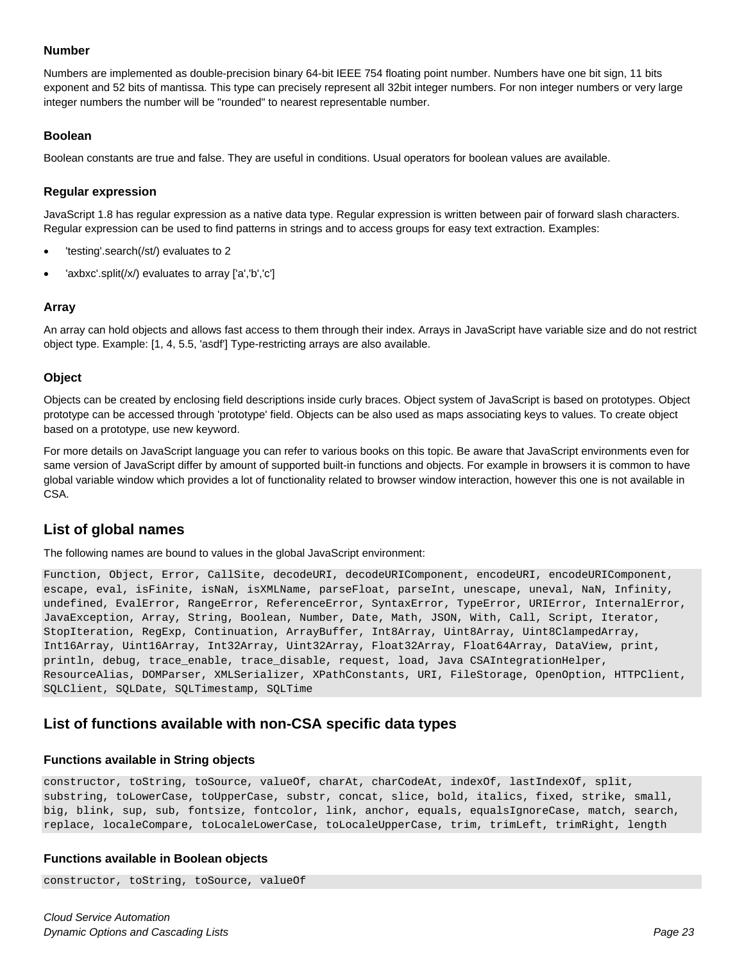#### **Number**

Numbers are implemented as double-precision binary 64-bit IEEE 754 floating point number. Numbers have one bit sign, 11 bits exponent and 52 bits of mantissa. This type can precisely represent all 32bit integer numbers. For non integer numbers or very large integer numbers the number will be "rounded" to nearest representable number.

#### **Boolean**

Boolean constants are true and false. They are useful in conditions. Usual operators for boolean values are available.

#### **Regular expression**

JavaScript 1.8 has regular expression as a native data type. Regular expression is written between pair of forward slash characters. Regular expression can be used to find patterns in strings and to access groups for easy text extraction. Examples:

- 'testing'.search(/st/) evaluates to 2
- 'axbxc'.split(/x/) evaluates to array ['a','b','c']

#### **Array**

An array can hold objects and allows fast access to them through their index. Arrays in JavaScript have variable size and do not restrict object type. Example: [1, 4, 5.5, 'asdf'] Type-restricting arrays are also available.

#### **Object**

Objects can be created by enclosing field descriptions inside curly braces. Object system of JavaScript is based on prototypes. Object prototype can be accessed through 'prototype' field. Objects can be also used as maps associating keys to values. To create object based on a prototype, use new keyword.

For more details on JavaScript language you can refer to various books on this topic. Be aware that JavaScript environments even for same version of JavaScript differ by amount of supported built-in functions and objects. For example in browsers it is common to have global variable window which provides a lot of functionality related to browser window interaction, however this one is not available in CSA.

### <span id="page-22-0"></span>**List of global names**

The following names are bound to values in the global JavaScript environment:

Function, Object, Error, CallSite, decodeURI, decodeURIComponent, encodeURI, encodeURIComponent, escape, eval, isFinite, isNaN, isXMLName, parseFloat, parseInt, unescape, uneval, NaN, Infinity, undefined, EvalError, RangeError, ReferenceError, SyntaxError, TypeError, URIError, InternalError, JavaException, Array, String, Boolean, Number, Date, Math, JSON, With, Call, Script, Iterator, StopIteration, RegExp, Continuation, ArrayBuffer, Int8Array, Uint8Array, Uint8ClampedArray, Int16Array, Uint16Array, Int32Array, Uint32Array, Float32Array, Float64Array, DataView, print, println, debug, trace\_enable, trace\_disable, request, load, Java CSAIntegrationHelper, ResourceAlias, DOMParser, XMLSerializer, XPathConstants, URI, FileStorage, OpenOption, HTTPClient, SQLClient, SQLDate, SQLTimestamp, SQLTime

#### <span id="page-22-1"></span>**List of functions available with non-CSA specific data types**

#### **Functions available in String objects**

constructor, toString, toSource, valueOf, charAt, charCodeAt, indexOf, lastIndexOf, split, substring, toLowerCase, toUpperCase, substr, concat, slice, bold, italics, fixed, strike, small, big, blink, sup, sub, fontsize, fontcolor, link, anchor, equals, equalsIgnoreCase, match, search, replace, localeCompare, toLocaleLowerCase, toLocaleUpperCase, trim, trimLeft, trimRight, length

#### **Functions available in Boolean objects**

constructor, toString, toSource, valueOf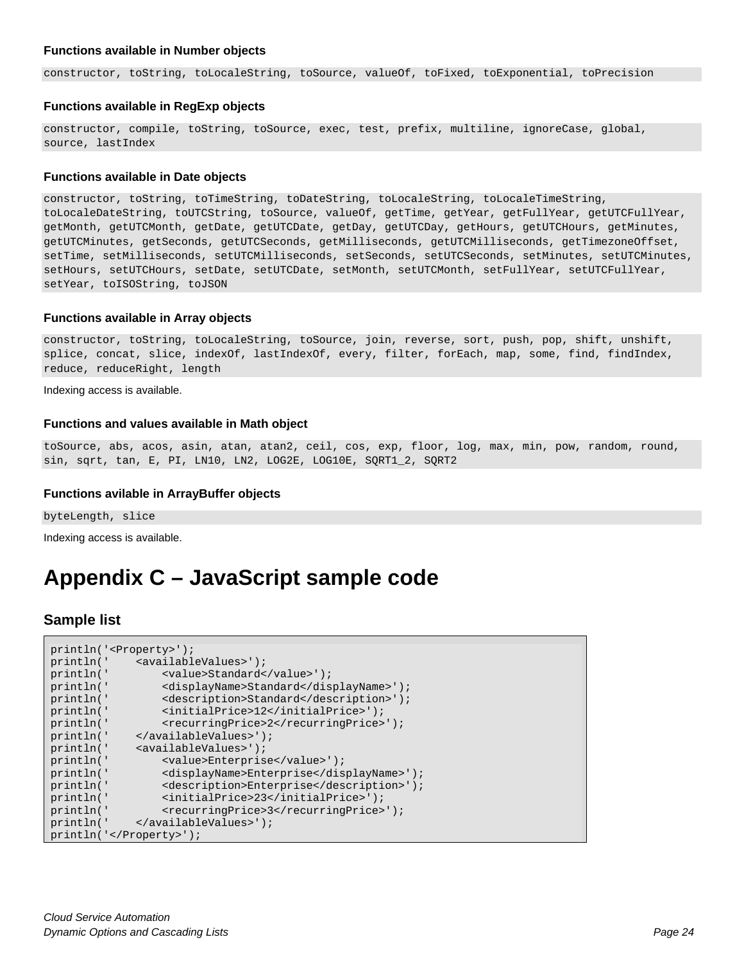#### **Functions available in Number objects**

constructor, toString, toLocaleString, toSource, valueOf, toFixed, toExponential, toPrecision

#### **Functions available in RegExp objects**

```
constructor, compile, toString, toSource, exec, test, prefix, multiline, ignoreCase, global, 
source, lastIndex
```
#### **Functions available in Date objects**

constructor, toString, toTimeString, toDateString, toLocaleString, toLocaleTimeString, toLocaleDateString, toUTCString, toSource, valueOf, getTime, getYear, getFullYear, getUTCFullYear, getMonth, getUTCMonth, getDate, getUTCDate, getDay, getUTCDay, getHours, getUTCHours, getMinutes, getUTCMinutes, getSeconds, getUTCSeconds, getMilliseconds, getUTCMilliseconds, getTimezoneOffset, setTime, setMilliseconds, setUTCMilliseconds, setSeconds, setUTCSeconds, setMinutes, setUTCMinutes, setHours, setUTCHours, setDate, setUTCDate, setMonth, setUTCMonth, setFullYear, setUTCFullYear, setYear, toISOString, toJSON

#### **Functions available in Array objects**

constructor, toString, toLocaleString, toSource, join, reverse, sort, push, pop, shift, unshift, splice, concat, slice, indexOf, lastIndexOf, every, filter, forEach, map, some, find, findIndex, reduce, reduceRight, length

Indexing access is available.

#### **Functions and values available in Math object**

toSource, abs, acos, asin, atan, atan2, ceil, cos, exp, floor, log, max, min, pow, random, round, sin, sqrt, tan, E, PI, LN10, LN2, LOG2E, LOG10E, SQRT1\_2, SQRT2

#### **Functions avilable in ArrayBuffer objects**

byteLength, slice

Indexing access is available.

## <span id="page-23-0"></span>**Appendix C – JavaScript sample code**

#### <span id="page-23-1"></span>**Sample list**

| println(' <property>');</property> |                                                  |  |
|------------------------------------|--------------------------------------------------|--|
|                                    | println(' <availablevalues>');</availablevalues> |  |
| println('                          | <value>Standard</value> ');                      |  |
| println('                          | <displayname>Standard</displayname> ');          |  |
| println('                          | <description>Standard</description> ');          |  |
| println('                          | <initialprice>12</initialprice> ');              |  |
| println('                          | <recurringprice>2</recurringprice> ');           |  |
| println('                          | ');                                              |  |
| println('                          | <availablevalues>');</availablevalues>           |  |
| println('                          | <value>Enterprise</value> ');                    |  |
| println('                          | <displayname>Enterprise</displayname> ');        |  |
| println('                          | <description>Enterprise</description> ');        |  |
| println('                          | <initialprice>23</initialprice> ');              |  |
| println(                           | <recurringprice>3</recurringprice> ');           |  |
|                                    | println(' ');                                    |  |
| $printh(n(')$ ;                    |                                                  |  |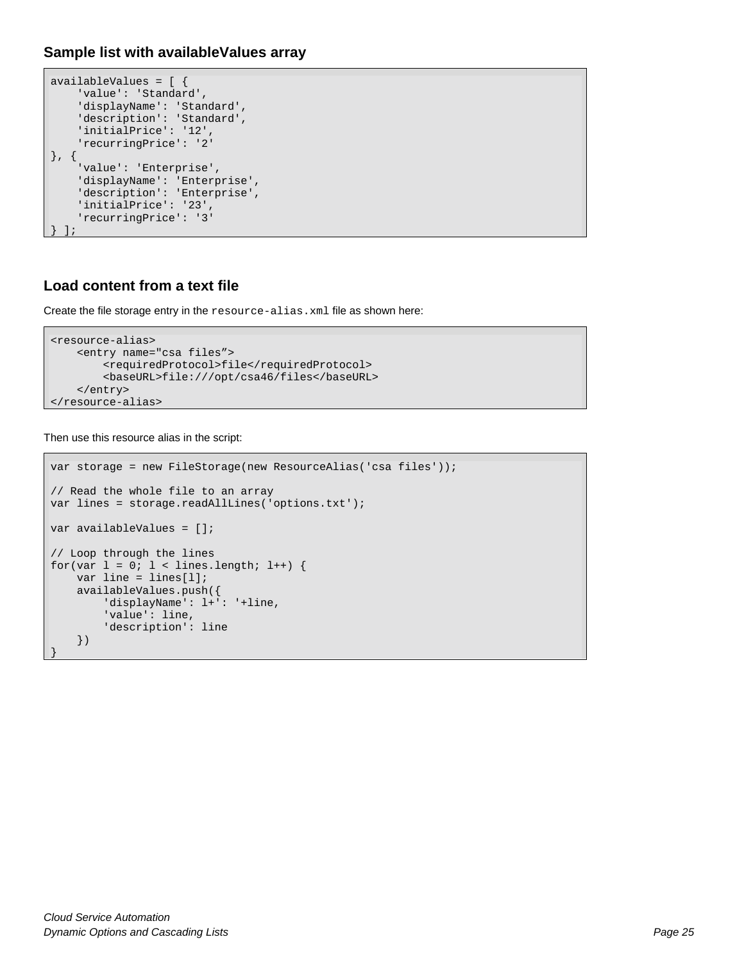```
Sample list with availableValues array
```

```
availableValues = [ {
     'value': 'Standard',
     'displayName': 'Standard',
    'description': 'Standard',
     'initialPrice': '12',
     'recurringPrice': '2'
}, {
     'value': 'Enterprise',
     'displayName': 'Enterprise',
     'description': 'Enterprise',
     'initialPrice': '23',
     'recurringPrice': '3'
 } ];
```
## <span id="page-24-1"></span>**Load content from a text file**

Create the file storage entry in the resource-alias.xml file as shown here:

```
<resource-alias>
     <entry name="csa files">
         <requiredProtocol>file</requiredProtocol>
         <baseURL>file:///opt/csa46/files</baseURL>
     </entry>
</resource-alias>
```
Then use this resource alias in the script:

}

```
var storage = new FileStorage(new ResourceAlias('csa files'));
// Read the whole file to an array
var lines = storage.readAllLines('options.txt');
var availableValues = [];
// Loop through the lines
for(var l = 0; l < lines.length; l++) {
    var line = lines[l];
    availableValues.push({
         'displayName': l+': '+line,
         'value': line,
         'description': line
     })
```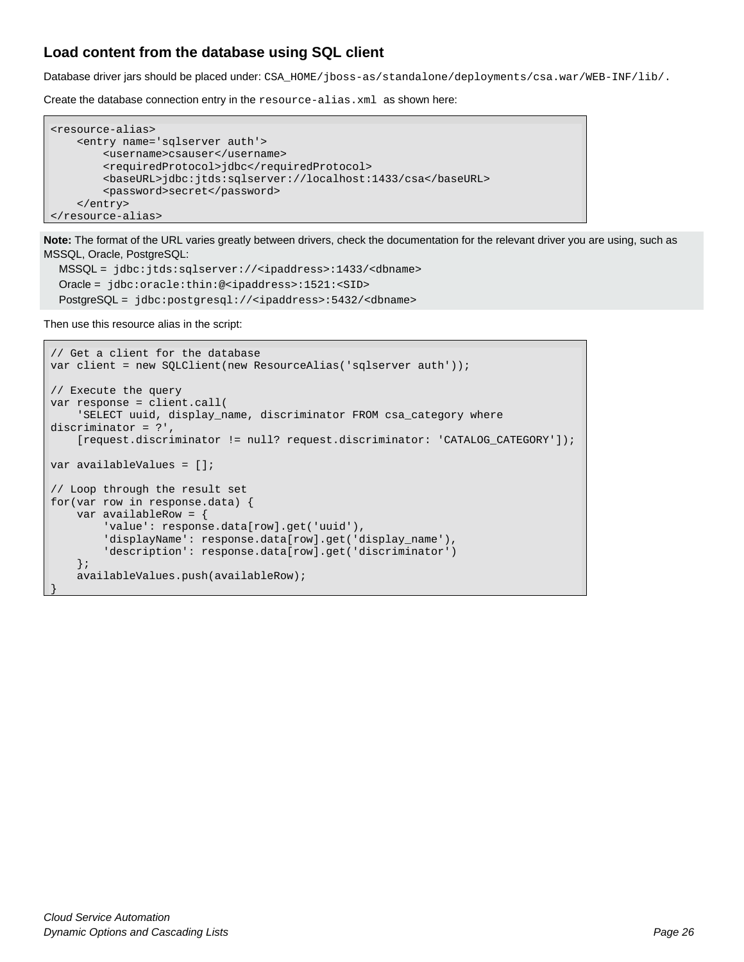## <span id="page-25-0"></span>**Load content from the database using SQL client**

Database driver jars should be placed under: CSA\_HOME/jboss-as/standalone/deployments/csa.war/WEB-INF/lib/.

Create the database connection entry in the resource-alias.xml as shown here:

```
<resource-alias>
    <entry name='sqlserver auth'>
         <username>csauser</username>
         <requiredProtocol>jdbc</requiredProtocol>
         <baseURL>jdbc:jtds:sqlserver://localhost:1433/csa</baseURL>
         <password>secret</password>
     </entry>
</resource-alias>
```
**Note:** The format of the URL varies greatly between drivers, check the documentation for the relevant driver you are using, such as MSSQL, Oracle, PostgreSQL:

```
 MSSQL = jdbc:jtds:sqlserver://<ipaddress>:1433/<dbname>
 Oracle = jdbc:oracle:thin:@<ipaddress>:1521:<SID>
 PostgreSQL = jdbc:postgresql://<ipaddress>:5432/<dbname>
```
Then use this resource alias in the script:

```
// Get a client for the database
var client = new SOLClient(new ResourceAlias('sqlserver auth'));
// Execute the query
var response = client.call(
     'SELECT uuid, display_name, discriminator FROM csa_category where 
discriminator = ?',
     [request.discriminator != null? request.discriminator: 'CATALOG_CATEGORY']);
var availableValues = [];
// Loop through the result set
for(var row in response.data) {
    var availableRow = {
         'value': response.data[row].get('uuid'),
         'displayName': response.data[row].get('display_name'),
         'description': response.data[row].get('discriminator')
     };
     availableValues.push(availableRow);
}
```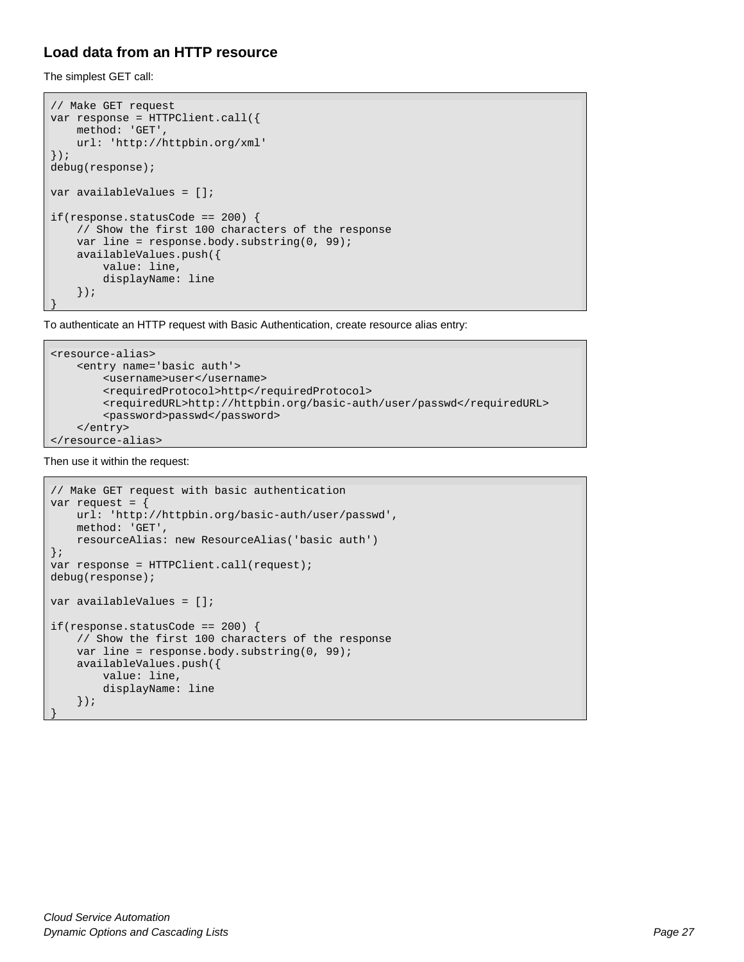## <span id="page-26-0"></span>**Load data from an HTTP resource**

The simplest GET call:

```
// Make GET request
var response = HTTPClient.call({
    method: 'GET',
     url: 'http://httpbin.org/xml'
});
debug(response);
var availableValues = [];
if(response.statusCode == 200) {
     // Show the first 100 characters of the response
    var line = response.body.substring(0, 99);
     availableValues.push({
         value: line,
         displayName: line
     });
}
```
To authenticate an HTTP request with Basic Authentication, create resource alias entry:

```
<resource-alias>
    <entry name='basic auth'>
         <username>user</username>
         <requiredProtocol>http</requiredProtocol>
         <requiredURL>http://httpbin.org/basic-auth/user/passwd</requiredURL>
         <password>passwd</password>
     </entry>
</resource-alias>
```
Then use it within the request:

```
// Make GET request with basic authentication
var request = {
    url: 'http://httpbin.org/basic-auth/user/passwd',
    method: 'GET',
    resourceAlias: new ResourceAlias('basic auth')
};
var response = HTTPClient.call(request);
debug(response);
var availableValues = [];
if(response.statusCode == 200) {
     // Show the first 100 characters of the response
    var line = response.body.substring(0, 99);
    availableValues.push({
         value: line,
         displayName: line
     });
}
```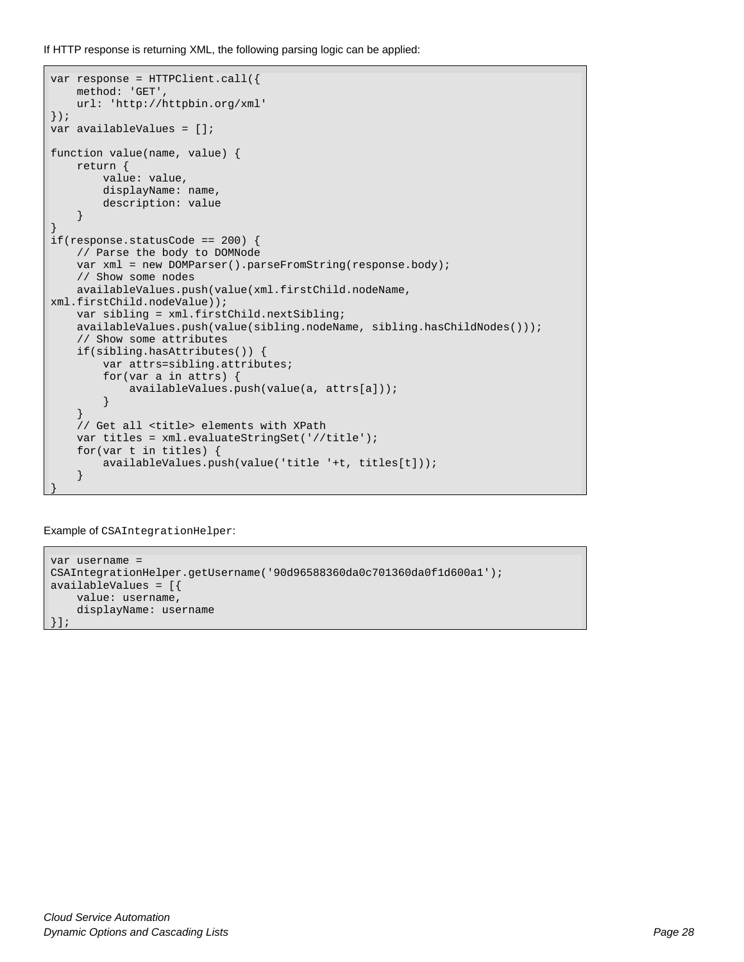If HTTP response is returning XML, the following parsing logic can be applied:

```
var response = HTTPClient.call({
     method: 'GET',
     url: 'http://httpbin.org/xml'
});
var availableValues = [];
function value(name, value) {
     return {
          value: value,
          displayName: name,
    description: value
\left\{\begin{array}{ccc} \end{array}\right\}}
if(response.statusCode == 200) {
     // Parse the body to DOMNode
     var xml = new DOMParser().parseFromString(response.body);
     // Show some nodes
     availableValues.push(value(xml.firstChild.nodeName, 
xml.firstChild.nodeValue));
     var sibling = xml.firstChild.nextSibling;
    availableValues.push(value(sibling.nodeName, sibling.hasChildNodes()));
     // Show some attributes
     if(sibling.hasAttributes()) {
          var attrs=sibling.attributes;
          for(var a in attrs) {
              availableValues.push(value(a, attrs[a]));
          }
     }
     // Get all <title> elements with XPath
     var titles = xml.evaluateStringSet('//title');
     for(var t in titles) {
          availableValues.push(value('title '+t, titles[t]));
\left\{\begin{array}{ccc} \end{array}\right\}}
```
Example of CSAIntegrationHelper:

```
var username = 
CSAIntegrationHelper.getUsername('90d96588360da0c701360da0f1d600a1');
availableValues = [{
     value: username,
     displayName: username
}];
```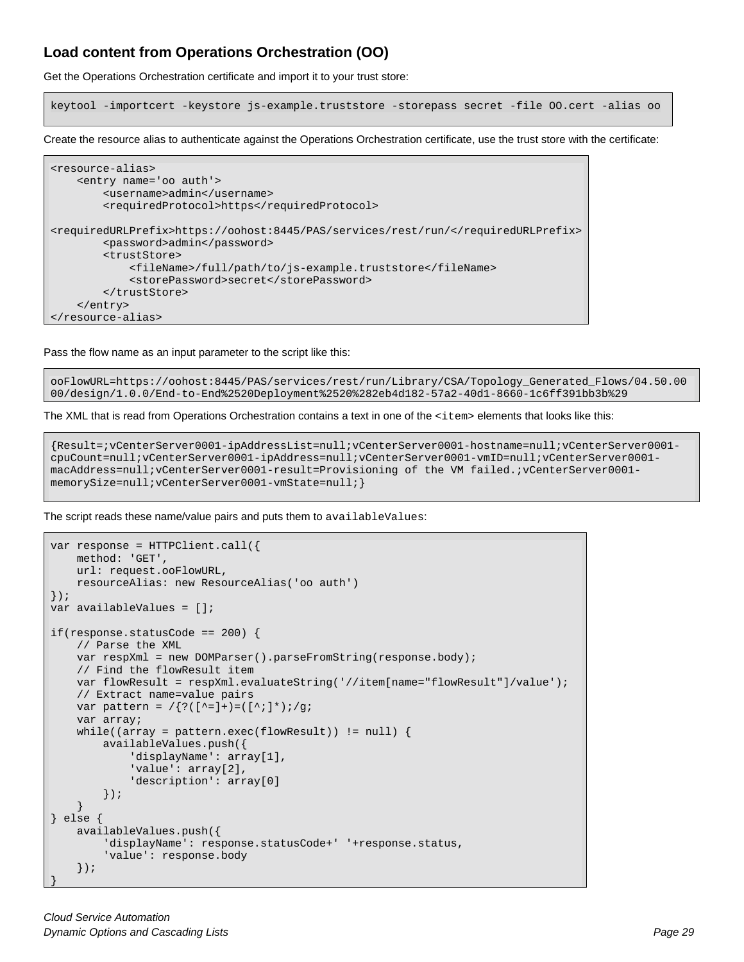## <span id="page-28-0"></span>**Load content from Operations Orchestration (OO)**

Get the Operations Orchestration certificate and import it to your trust store:

keytool -importcert -keystore js-example.truststore -storepass secret -file OO.cert -alias oo

Create the resource alias to authenticate against the Operations Orchestration certificate, use the trust store with the certificate:

```
<resource-alias>
     <entry name='oo auth'>
         <username>admin</username>
         <requiredProtocol>https</requiredProtocol>
<requiredURLPrefix>https://oohost:8445/PAS/services/rest/run/</requiredURLPrefix>
         <password>admin</password>
         <trustStore>
             <fileName>/full/path/to/js-example.truststore</fileName>
             <storePassword>secret</storePassword>
         </trustStore>
     </entry>
</resource-alias>
```
Pass the flow name as an input parameter to the script like this:

ooFlowURL=https://oohost:8445/PAS/services/rest/run/Library/CSA/Topology\_Generated\_Flows/04.50.00 00/design/1.0.0/End-to-End%2520Deployment%2520%282eb4d182-57a2-40d1-8660-1c6ff391bb3b%29

The XML that is read from Operations Orchestration contains a text in one of the <item> elements that looks like this:

```
{Result=;vCenterServer0001-ipAddressList=null;vCenterServer0001-hostname=null;vCenterServer0001-
cpuCount=null;vCenterServer0001-ipAddress=null;vCenterServer0001-vmID=null;vCenterServer0001-
macAddress=null;vCenterServer0001-result=Provisioning of the VM failed.;vCenterServer0001-
memorySize=null;vCenterServer0001-vmState=null;}
```
The script reads these name/value pairs and puts them to availableValues:

```
var response = HTTPClient.call({
     method: 'GET',
     url: request.ooFlowURL,
     resourceAlias: new ResourceAlias('oo auth')
});
var availableValues = [];
if(response.statusCode == 200) {
     // Parse the XML
     var respXml = new DOMParser().parseFromString(response.body);
     // Find the flowResult item
     var flowResult = respXml.evaluateString('//item[name="flowResult"]/value');
     // Extract name=value pairs
    var pattern = /{?([^{\wedge}=]+)=([^{\wedge};]^{\star});'} var array;
    while((array = pattern.exec(flowResult)) != null {
         availableValues.push({
              'displayName': array[1],
              'value': array[2],
              'description': array[0]
    \begin{matrix} \end{matrix}});
\rightarrow} else {
     availableValues.push({
          'displayName': response.statusCode+' '+response.status,
          'value': response.body
     });
}
```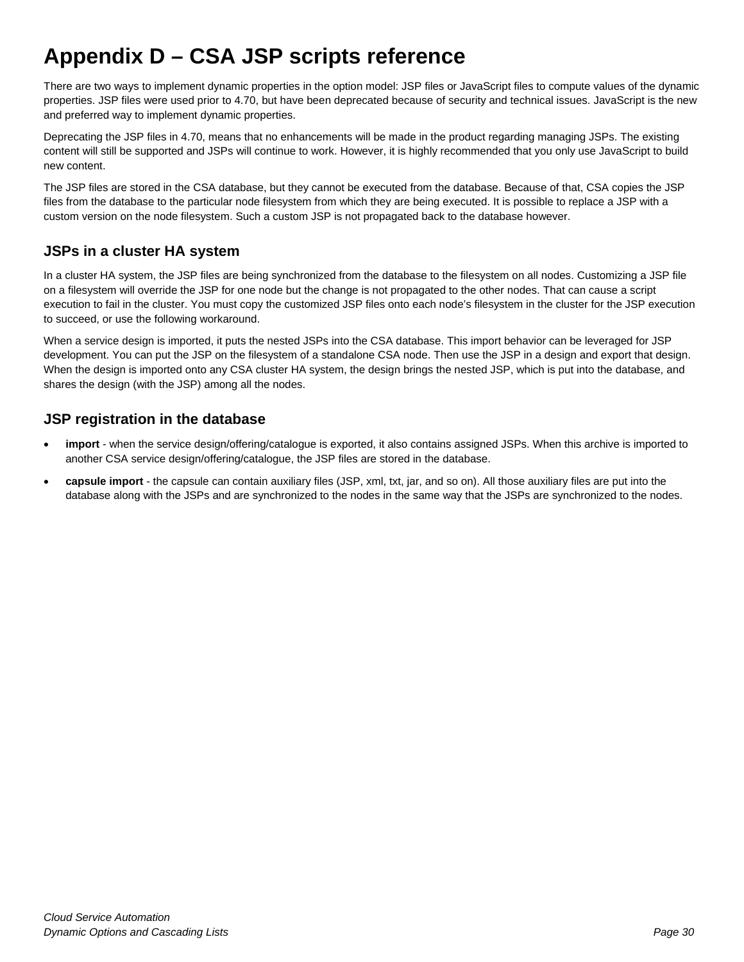## <span id="page-29-0"></span>**Appendix D – CSA JSP scripts reference**

There are two ways to implement dynamic properties in the option model: JSP files or JavaScript files to compute values of the dynamic properties. JSP files were used prior to 4.70, but have been deprecated because of security and technical issues. JavaScript is the new and preferred way to implement dynamic properties.

Deprecating the JSP files in 4.70, means that no enhancements will be made in the product regarding managing JSPs. The existing content will still be supported and JSPs will continue to work. However, it is highly recommended that you only use JavaScript to build new content.

The JSP files are stored in the CSA database, but they cannot be executed from the database. Because of that, CSA copies the JSP files from the database to the particular node filesystem from which they are being executed. It is possible to replace a JSP with a custom version on the node filesystem. Such a custom JSP is not propagated back to the database however.

## <span id="page-29-1"></span>**JSPs in a cluster HA system**

In a cluster HA system, the JSP files are being synchronized from the database to the filesystem on all nodes. Customizing a JSP file on a filesystem will override the JSP for one node but the change is not propagated to the other nodes. That can cause a script execution to fail in the cluster. You must copy the customized JSP files onto each node's filesystem in the cluster for the JSP execution to succeed, or use the following workaround.

When a service design is imported, it puts the nested JSPs into the CSA database. This import behavior can be leveraged for JSP development. You can put the JSP on the filesystem of a standalone CSA node. Then use the JSP in a design and export that design. When the design is imported onto any CSA cluster HA system, the design brings the nested JSP, which is put into the database, and shares the design (with the JSP) among all the nodes.

## <span id="page-29-2"></span>**JSP registration in the database**

- **import** when the service design/offering/catalogue is exported, it also contains assigned JSPs. When this archive is imported to another CSA service design/offering/catalogue, the JSP files are stored in the database.
- **capsule import** the capsule can contain auxiliary files (JSP, xml, txt, jar, and so on). All those auxiliary files are put into the database along with the JSPs and are synchronized to the nodes in the same way that the JSPs are synchronized to the nodes.